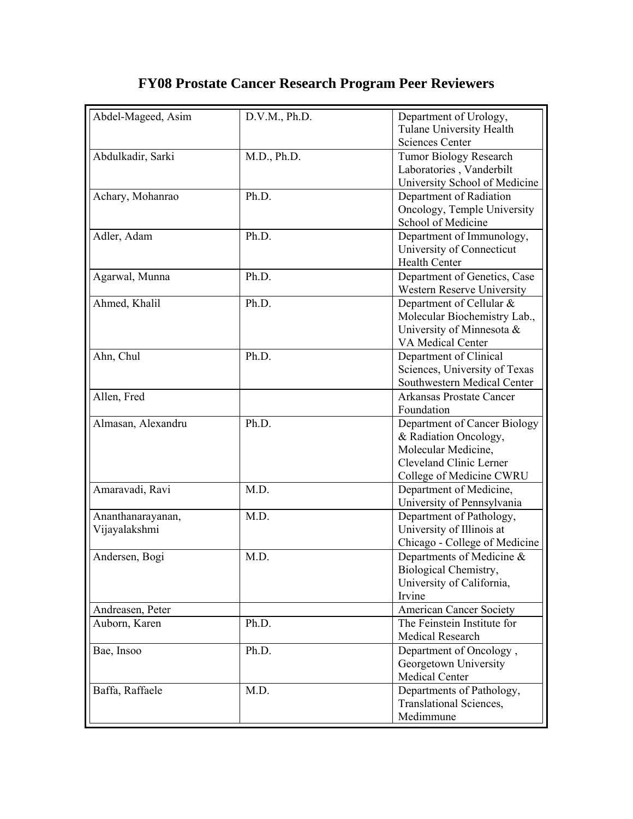## **FY08 Prostate Cancer Research Program Peer Reviewers**

| Abdel-Mageed, Asim | D.V.M., Ph.D. | Department of Urology,                                       |
|--------------------|---------------|--------------------------------------------------------------|
|                    |               | Tulane University Health<br><b>Sciences Center</b>           |
| Abdulkadir, Sarki  | M.D., Ph.D.   | <b>Tumor Biology Research</b>                                |
|                    |               | Laboratories, Vanderbilt                                     |
|                    |               | University School of Medicine                                |
| Achary, Mohanrao   | Ph.D.         | Department of Radiation                                      |
|                    |               | Oncology, Temple University                                  |
| Adler, Adam        | Ph.D.         | School of Medicine                                           |
|                    |               | Department of Immunology,<br>University of Connecticut       |
|                    |               | <b>Health Center</b>                                         |
| Agarwal, Munna     | Ph.D.         | Department of Genetics, Case                                 |
|                    |               | Western Reserve University                                   |
| Ahmed, Khalil      | Ph.D.         | Department of Cellular &                                     |
|                    |               | Molecular Biochemistry Lab.,                                 |
|                    |               | University of Minnesota &                                    |
|                    |               | VA Medical Center                                            |
| Ahn, Chul          | Ph.D.         | Department of Clinical                                       |
|                    |               | Sciences, University of Texas<br>Southwestern Medical Center |
| Allen, Fred        |               | Arkansas Prostate Cancer                                     |
|                    |               | Foundation                                                   |
| Almasan, Alexandru | Ph.D.         | Department of Cancer Biology                                 |
|                    |               | & Radiation Oncology,                                        |
|                    |               | Molecular Medicine,                                          |
|                    |               | Cleveland Clinic Lerner                                      |
|                    |               | College of Medicine CWRU                                     |
| Amaravadi, Ravi    | M.D.          | Department of Medicine,                                      |
|                    |               | University of Pennsylvania                                   |
| Ananthanarayanan,  | M.D.          | Department of Pathology,                                     |
| Vijayalakshmi      |               | University of Illinois at                                    |
| Andersen, Bogi     | M.D.          | Chicago - College of Medicine<br>Departments of Medicine &   |
|                    |               | Biological Chemistry,                                        |
|                    |               | University of California,                                    |
|                    |               | Irvine                                                       |
| Andreasen, Peter   |               | <b>American Cancer Society</b>                               |
| Auborn, Karen      | Ph.D.         | The Feinstein Institute for                                  |
|                    |               | <b>Medical Research</b>                                      |
| Bae, Insoo         | Ph.D.         | Department of Oncology,                                      |
|                    |               | Georgetown University                                        |
|                    |               | <b>Medical Center</b>                                        |
| Baffa, Raffaele    | M.D.          | Departments of Pathology,                                    |
|                    |               | Translational Sciences,                                      |
|                    |               | Medimmune                                                    |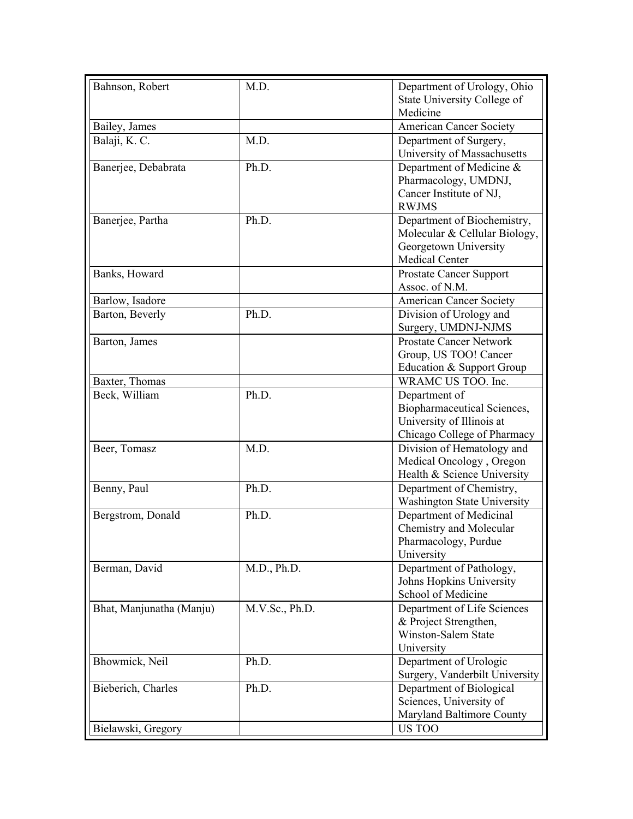| Bahnson, Robert          | M.D.           | Department of Urology, Ohio                               |
|--------------------------|----------------|-----------------------------------------------------------|
|                          |                | State University College of                               |
|                          |                | Medicine                                                  |
| Bailey, James            |                | <b>American Cancer Society</b>                            |
| Balaji, K. C.            | M.D.           | Department of Surgery,<br>University of Massachusetts     |
| Banerjee, Debabrata      | Ph.D.          | Department of Medicine &                                  |
|                          |                | Pharmacology, UMDNJ,                                      |
|                          |                | Cancer Institute of NJ,                                   |
|                          |                | <b>RWJMS</b>                                              |
| Banerjee, Partha         | Ph.D.          | Department of Biochemistry,                               |
|                          |                | Molecular & Cellular Biology,                             |
|                          |                | Georgetown University                                     |
|                          |                | <b>Medical Center</b>                                     |
| Banks, Howard            |                | <b>Prostate Cancer Support</b>                            |
|                          |                | Assoc. of N.M.                                            |
| Barlow, Isadore          |                | <b>American Cancer Society</b>                            |
| Barton, Beverly          | Ph.D.          | Division of Urology and                                   |
|                          |                | Surgery, UMDNJ-NJMS                                       |
| Barton, James            |                | <b>Prostate Cancer Network</b>                            |
|                          |                | Group, US TOO! Cancer                                     |
|                          |                | Education & Support Group                                 |
| Baxter, Thomas           |                | WRAMC US TOO. Inc.                                        |
| Beck, William            | Ph.D.          | Department of                                             |
|                          |                | Biopharmaceutical Sciences,                               |
|                          |                | University of Illinois at                                 |
| Beer, Tomasz             | M.D.           | Chicago College of Pharmacy<br>Division of Hematology and |
|                          |                | Medical Oncology, Oregon                                  |
|                          |                | Health & Science University                               |
| Benny, Paul              | Ph.D.          | Department of Chemistry,                                  |
|                          |                | <b>Washington State University</b>                        |
| Bergstrom, Donald        | Ph.D.          | Department of Medicinal                                   |
|                          |                | Chemistry and Molecular                                   |
|                          |                | Pharmacology, Purdue                                      |
|                          |                | University                                                |
| Berman, David            | M.D., Ph.D.    | Department of Pathology,                                  |
|                          |                | Johns Hopkins University                                  |
|                          |                | School of Medicine                                        |
| Bhat, Manjunatha (Manju) | M.V.Sc., Ph.D. | Department of Life Sciences                               |
|                          |                | & Project Strengthen,                                     |
|                          |                | Winston-Salem State                                       |
|                          |                | University                                                |
| Bhowmick, Neil           | Ph.D.          | Department of Urologic                                    |
|                          |                | Surgery, Vanderbilt University                            |
| Bieberich, Charles       | Ph.D.          | Department of Biological                                  |
|                          |                | Sciences, University of                                   |
|                          |                | Maryland Baltimore County                                 |
| Bielawski, Gregory       |                | US TOO                                                    |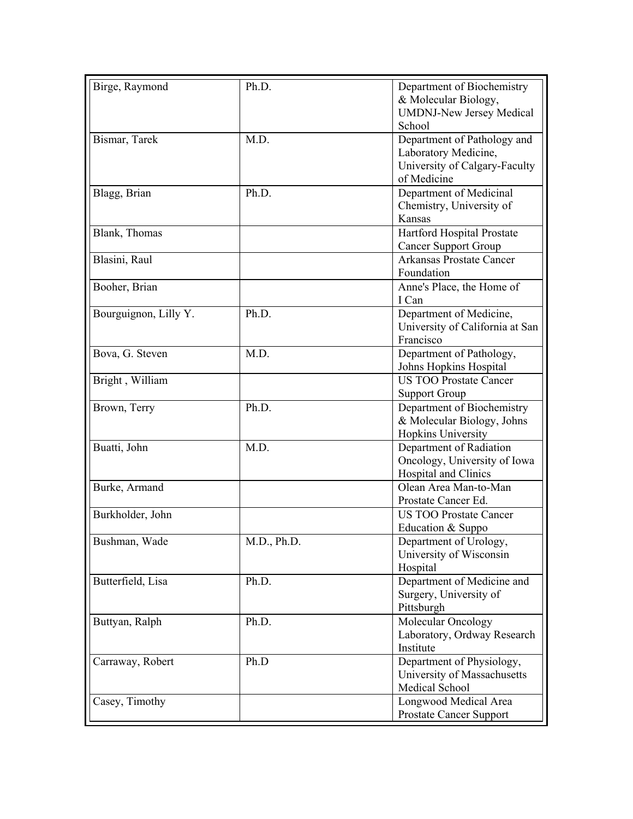| Birge, Raymond        | Ph.D.       | Department of Biochemistry      |
|-----------------------|-------------|---------------------------------|
|                       |             | & Molecular Biology,            |
|                       |             | <b>UMDNJ-New Jersey Medical</b> |
|                       |             | School                          |
| Bismar, Tarek         | M.D.        | Department of Pathology and     |
|                       |             | Laboratory Medicine,            |
|                       |             | University of Calgary-Faculty   |
|                       |             | of Medicine                     |
| Blagg, Brian          | Ph.D.       | Department of Medicinal         |
|                       |             | Chemistry, University of        |
|                       |             | Kansas                          |
| Blank, Thomas         |             | Hartford Hospital Prostate      |
|                       |             | <b>Cancer Support Group</b>     |
| Blasini, Raul         |             | <b>Arkansas Prostate Cancer</b> |
|                       |             | Foundation                      |
| Booher, Brian         |             | Anne's Place, the Home of       |
|                       |             | I Can                           |
| Bourguignon, Lilly Y. | Ph.D.       | Department of Medicine,         |
|                       |             | University of California at San |
|                       |             | Francisco                       |
| Bova, G. Steven       | M.D.        | Department of Pathology,        |
|                       |             | Johns Hopkins Hospital          |
| Bright, William       |             | <b>US TOO Prostate Cancer</b>   |
|                       |             | <b>Support Group</b>            |
| Brown, Terry          | Ph.D.       | Department of Biochemistry      |
|                       |             | & Molecular Biology, Johns      |
|                       |             | Hopkins University              |
| Buatti, John          | M.D.        | Department of Radiation         |
|                       |             | Oncology, University of Iowa    |
|                       |             | Hospital and Clinics            |
| Burke, Armand         |             | Olean Area Man-to-Man           |
|                       |             | Prostate Cancer Ed.             |
| Burkholder, John      |             | <b>US TOO Prostate Cancer</b>   |
|                       |             | Education & Suppo               |
| Bushman, Wade         | M.D., Ph.D. | Department of Urology,          |
|                       |             | University of Wisconsin         |
|                       |             | Hospital                        |
| Butterfield, Lisa     |             | Department of Medicine and      |
|                       | Ph.D.       |                                 |
|                       |             | Surgery, University of          |
|                       |             | Pittsburgh                      |
| Buttyan, Ralph        | Ph.D.       | Molecular Oncology              |
|                       |             | Laboratory, Ordway Research     |
|                       |             | Institute                       |
| Carraway, Robert      | Ph.D        | Department of Physiology,       |
|                       |             | University of Massachusetts     |
|                       |             | Medical School                  |
| Casey, Timothy        |             | Longwood Medical Area           |
|                       |             | <b>Prostate Cancer Support</b>  |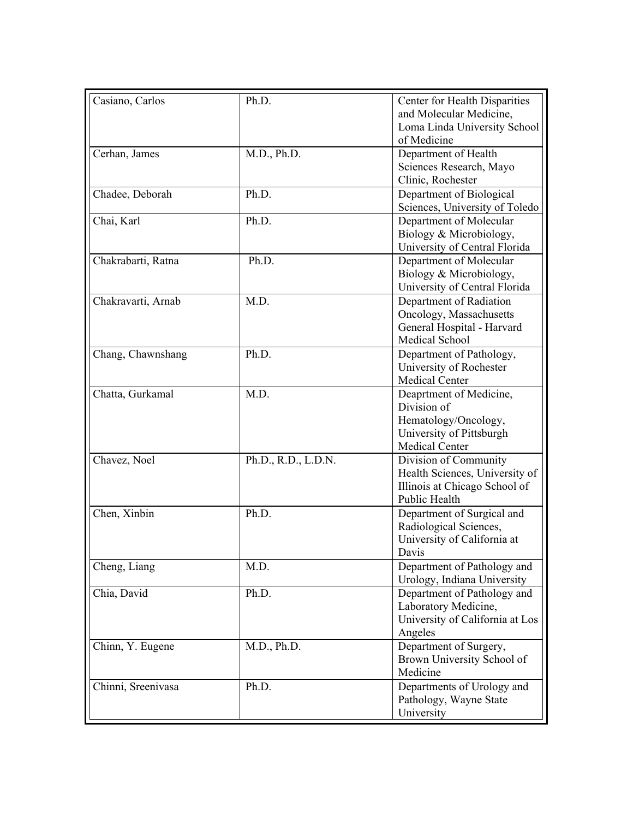| Casiano, Carlos    | Ph.D.               | Center for Health Disparities                |
|--------------------|---------------------|----------------------------------------------|
|                    |                     | and Molecular Medicine,                      |
|                    |                     | Loma Linda University School                 |
|                    |                     | of Medicine                                  |
| Cerhan, James      | M.D., Ph.D.         | Department of Health                         |
|                    |                     | Sciences Research, Mayo                      |
|                    |                     | Clinic, Rochester                            |
| Chadee, Deborah    | Ph.D.               | Department of Biological                     |
|                    |                     | Sciences, University of Toledo               |
| Chai, Karl         | Ph.D.               | Department of Molecular                      |
|                    |                     | Biology & Microbiology,                      |
|                    |                     | University of Central Florida                |
| Chakrabarti, Ratna | Ph.D.               | Department of Molecular                      |
|                    |                     | Biology & Microbiology,                      |
|                    |                     | University of Central Florida                |
| Chakravarti, Arnab | M.D.                | Department of Radiation                      |
|                    |                     | Oncology, Massachusetts                      |
|                    |                     | General Hospital - Harvard<br>Medical School |
| Chang, Chawnshang  | Ph.D.               | Department of Pathology,                     |
|                    |                     | University of Rochester                      |
|                    |                     | Medical Center                               |
| Chatta, Gurkamal   | M.D.                | Deaprtment of Medicine,                      |
|                    |                     | Division of                                  |
|                    |                     | Hematology/Oncology,                         |
|                    |                     | University of Pittsburgh                     |
|                    |                     | Medical Center                               |
| Chavez, Noel       | Ph.D., R.D., L.D.N. | Division of Community                        |
|                    |                     | Health Sciences, University of               |
|                    |                     | Illinois at Chicago School of                |
|                    |                     | Public Health                                |
| Chen, Xinbin       | Ph.D.               | Department of Surgical and                   |
|                    |                     | Radiological Sciences,                       |
|                    |                     | University of California at                  |
|                    |                     | Davis                                        |
| Cheng, Liang       | M.D.                | Department of Pathology and                  |
|                    |                     | Urology, Indiana University                  |
| Chia, David        | Ph.D.               | Department of Pathology and                  |
|                    |                     | Laboratory Medicine,                         |
|                    |                     | University of California at Los<br>Angeles   |
|                    | M.D., Ph.D.         | Department of Surgery,                       |
| Chinn, Y. Eugene   |                     | Brown University School of                   |
|                    |                     | Medicine                                     |
| Chinni, Sreenivasa | Ph.D.               | Departments of Urology and                   |
|                    |                     | Pathology, Wayne State                       |
|                    |                     | University                                   |
|                    |                     |                                              |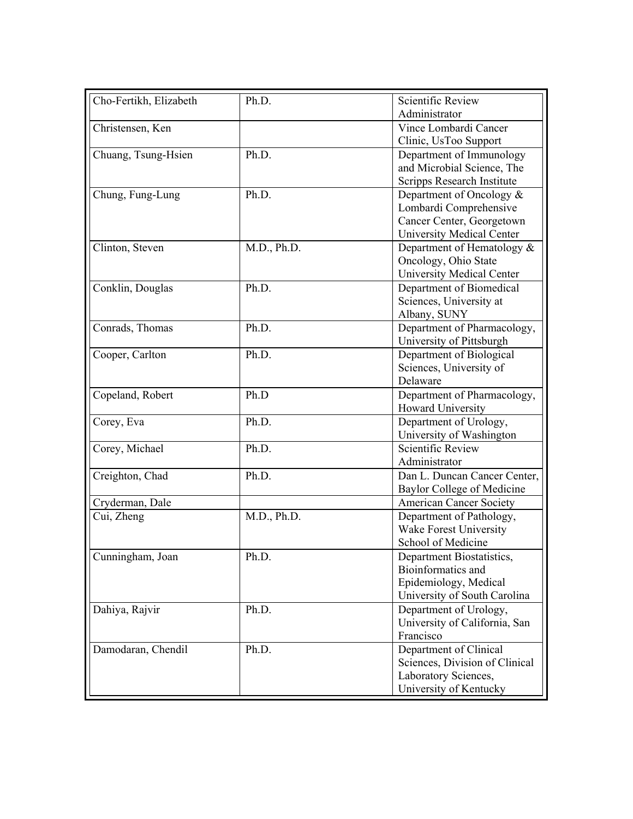| Cho-Fertikh, Elizabeth | Ph.D.       | <b>Scientific Review</b>         |
|------------------------|-------------|----------------------------------|
|                        |             | Administrator                    |
| Christensen, Ken       |             | Vince Lombardi Cancer            |
|                        |             | Clinic, UsToo Support            |
| Chuang, Tsung-Hsien    | Ph.D.       | Department of Immunology         |
|                        |             | and Microbial Science, The       |
|                        |             | Scripps Research Institute       |
| Chung, Fung-Lung       | Ph.D.       | Department of Oncology $&$       |
|                        |             | Lombardi Comprehensive           |
|                        |             | Cancer Center, Georgetown        |
|                        |             | <b>University Medical Center</b> |
| Clinton, Steven        | M.D., Ph.D. | Department of Hematology &       |
|                        |             | Oncology, Ohio State             |
|                        |             | <b>University Medical Center</b> |
| Conklin, Douglas       | Ph.D.       | Department of Biomedical         |
|                        |             | Sciences, University at          |
|                        |             | Albany, SUNY                     |
| Conrads, Thomas        | Ph.D.       | Department of Pharmacology,      |
|                        |             | University of Pittsburgh         |
| Cooper, Carlton        | Ph.D.       | Department of Biological         |
|                        |             | Sciences, University of          |
|                        |             | Delaware                         |
| Copeland, Robert       | Ph.D        | Department of Pharmacology,      |
|                        |             | Howard University                |
| Corey, Eva             | Ph.D.       | Department of Urology,           |
|                        |             | University of Washington         |
| Corey, Michael         | Ph.D.       | <b>Scientific Review</b>         |
|                        |             | Administrator                    |
| Creighton, Chad        | Ph.D.       | Dan L. Duncan Cancer Center,     |
|                        |             | Baylor College of Medicine       |
| Cryderman, Dale        |             | <b>American Cancer Society</b>   |
| Cui, Zheng             | M.D., Ph.D. | Department of Pathology,         |
|                        |             | Wake Forest University           |
|                        |             | School of Medicine               |
| Cunningham, Joan       | Ph.D.       | Department Biostatistics,        |
|                        |             | Bioinformatics and               |
|                        |             | Epidemiology, Medical            |
|                        |             | University of South Carolina     |
| Dahiya, Rajvir         | Ph.D.       | Department of Urology,           |
|                        |             | University of California, San    |
|                        |             | Francisco                        |
| Damodaran, Chendil     | Ph.D.       | Department of Clinical           |
|                        |             | Sciences, Division of Clinical   |
|                        |             | Laboratory Sciences,             |
|                        |             | University of Kentucky           |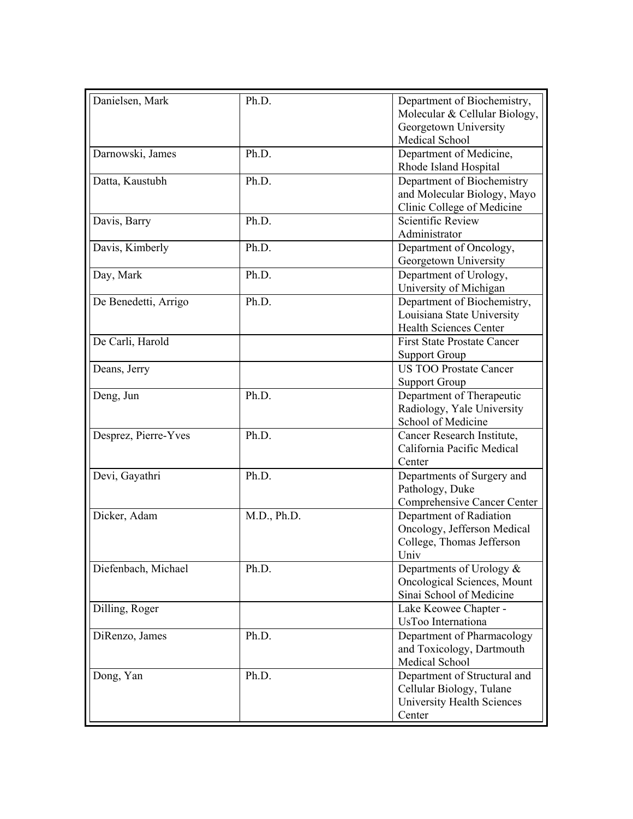| Danielsen, Mark      | Ph.D.       | Department of Biochemistry,<br>Molecular & Cellular Biology,<br>Georgetown University<br>Medical School |
|----------------------|-------------|---------------------------------------------------------------------------------------------------------|
| Darnowski, James     | Ph.D.       | Department of Medicine,<br>Rhode Island Hospital                                                        |
| Datta, Kaustubh      | Ph.D.       | Department of Biochemistry<br>and Molecular Biology, Mayo<br>Clinic College of Medicine                 |
| Davis, Barry         | Ph.D.       | Scientific Review<br>Administrator                                                                      |
| Davis, Kimberly      | Ph.D.       | Department of Oncology,<br>Georgetown University                                                        |
| Day, Mark            | Ph.D.       | Department of Urology,<br>University of Michigan                                                        |
| De Benedetti, Arrigo | Ph.D.       | Department of Biochemistry,<br>Louisiana State University<br><b>Health Sciences Center</b>              |
| De Carli, Harold     |             | <b>First State Prostate Cancer</b><br><b>Support Group</b>                                              |
| Deans, Jerry         |             | <b>US TOO Prostate Cancer</b><br><b>Support Group</b>                                                   |
| Deng, Jun            | Ph.D.       | Department of Therapeutic<br>Radiology, Yale University<br>School of Medicine                           |
| Desprez, Pierre-Yves | Ph.D.       | Cancer Research Institute,<br>California Pacific Medical<br>Center                                      |
| Devi, Gayathri       | Ph.D.       | Departments of Surgery and<br>Pathology, Duke<br>Comprehensive Cancer Center                            |
| Dicker, Adam         | M.D., Ph.D. | Department of Radiation<br>Oncology, Jefferson Medical<br>College, Thomas Jefferson<br>Univ             |
| Diefenbach, Michael  | Ph.D.       | Departments of Urology $\&$<br>Oncological Sciences, Mount<br>Sinai School of Medicine                  |
| Dilling, Roger       |             | Lake Keowee Chapter -<br>UsToo Internationa                                                             |
| DiRenzo, James       | Ph.D.       | Department of Pharmacology<br>and Toxicology, Dartmouth<br>Medical School                               |
| Dong, Yan            | Ph.D.       | Department of Structural and<br>Cellular Biology, Tulane<br><b>University Health Sciences</b><br>Center |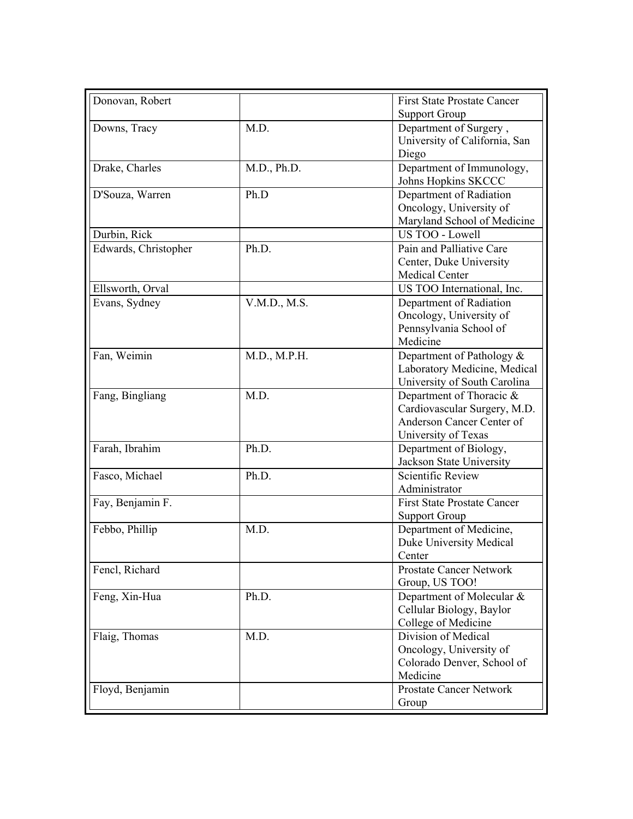| <b>Support Group</b><br>M.D.<br>Downs, Tracy<br>Department of Surgery,<br>University of California, San<br>Diego<br>Department of Immunology,<br>Drake, Charles<br>M.D., Ph.D.<br>Johns Hopkins SKCCC<br>D'Souza, Warren<br>Ph.D<br>Department of Radiation<br>Oncology, University of<br>Maryland School of Medicine<br>Durbin, Rick<br>US TOO - Lowell<br>Edwards, Christopher<br>Pain and Palliative Care<br>Ph.D.<br>Center, Duke University<br>Medical Center<br>US TOO International, Inc.<br>Ellsworth, Orval<br>Department of Radiation<br>Evans, Sydney<br>V.M.D., M.S.<br>Oncology, University of<br>Pennsylvania School of<br>Medicine<br>M.D., M.P.H.<br>Department of Pathology &<br>Fan, Weimin<br>Laboratory Medicine, Medical<br>University of South Carolina<br>Fang, Bingliang<br>M.D.<br>Department of Thoracic &<br>Cardiovascular Surgery, M.D.<br>Anderson Cancer Center of<br>University of Texas<br>Farah, Ibrahim<br>Ph.D.<br>Department of Biology,<br>Jackson State University<br>Fasco, Michael<br><b>Scientific Review</b><br>Ph.D.<br>Administrator<br>Fay, Benjamin F.<br><b>First State Prostate Cancer</b><br><b>Support Group</b><br>Febbo, Phillip<br>Department of Medicine,<br>M.D.<br>Duke University Medical<br>Center<br>Fencl, Richard<br><b>Prostate Cancer Network</b><br>Group, US TOO!<br>Feng, Xin-Hua<br>Ph.D.<br>Department of Molecular &<br>Cellular Biology, Baylor<br>College of Medicine<br>Division of Medical<br>Flaig, Thomas<br>M.D.<br>Oncology, University of<br>Colorado Denver, School of<br>Medicine<br>Floyd, Benjamin<br><b>Prostate Cancer Network</b><br>Group | Donovan, Robert | <b>First State Prostate Cancer</b> |
|----------------------------------------------------------------------------------------------------------------------------------------------------------------------------------------------------------------------------------------------------------------------------------------------------------------------------------------------------------------------------------------------------------------------------------------------------------------------------------------------------------------------------------------------------------------------------------------------------------------------------------------------------------------------------------------------------------------------------------------------------------------------------------------------------------------------------------------------------------------------------------------------------------------------------------------------------------------------------------------------------------------------------------------------------------------------------------------------------------------------------------------------------------------------------------------------------------------------------------------------------------------------------------------------------------------------------------------------------------------------------------------------------------------------------------------------------------------------------------------------------------------------------------------------------------------------------------------------------------------------------------|-----------------|------------------------------------|
|                                                                                                                                                                                                                                                                                                                                                                                                                                                                                                                                                                                                                                                                                                                                                                                                                                                                                                                                                                                                                                                                                                                                                                                                                                                                                                                                                                                                                                                                                                                                                                                                                                  |                 |                                    |
|                                                                                                                                                                                                                                                                                                                                                                                                                                                                                                                                                                                                                                                                                                                                                                                                                                                                                                                                                                                                                                                                                                                                                                                                                                                                                                                                                                                                                                                                                                                                                                                                                                  |                 |                                    |
|                                                                                                                                                                                                                                                                                                                                                                                                                                                                                                                                                                                                                                                                                                                                                                                                                                                                                                                                                                                                                                                                                                                                                                                                                                                                                                                                                                                                                                                                                                                                                                                                                                  |                 |                                    |
|                                                                                                                                                                                                                                                                                                                                                                                                                                                                                                                                                                                                                                                                                                                                                                                                                                                                                                                                                                                                                                                                                                                                                                                                                                                                                                                                                                                                                                                                                                                                                                                                                                  |                 |                                    |
|                                                                                                                                                                                                                                                                                                                                                                                                                                                                                                                                                                                                                                                                                                                                                                                                                                                                                                                                                                                                                                                                                                                                                                                                                                                                                                                                                                                                                                                                                                                                                                                                                                  |                 |                                    |
|                                                                                                                                                                                                                                                                                                                                                                                                                                                                                                                                                                                                                                                                                                                                                                                                                                                                                                                                                                                                                                                                                                                                                                                                                                                                                                                                                                                                                                                                                                                                                                                                                                  |                 |                                    |
|                                                                                                                                                                                                                                                                                                                                                                                                                                                                                                                                                                                                                                                                                                                                                                                                                                                                                                                                                                                                                                                                                                                                                                                                                                                                                                                                                                                                                                                                                                                                                                                                                                  |                 |                                    |
|                                                                                                                                                                                                                                                                                                                                                                                                                                                                                                                                                                                                                                                                                                                                                                                                                                                                                                                                                                                                                                                                                                                                                                                                                                                                                                                                                                                                                                                                                                                                                                                                                                  |                 |                                    |
|                                                                                                                                                                                                                                                                                                                                                                                                                                                                                                                                                                                                                                                                                                                                                                                                                                                                                                                                                                                                                                                                                                                                                                                                                                                                                                                                                                                                                                                                                                                                                                                                                                  |                 |                                    |
|                                                                                                                                                                                                                                                                                                                                                                                                                                                                                                                                                                                                                                                                                                                                                                                                                                                                                                                                                                                                                                                                                                                                                                                                                                                                                                                                                                                                                                                                                                                                                                                                                                  |                 |                                    |
|                                                                                                                                                                                                                                                                                                                                                                                                                                                                                                                                                                                                                                                                                                                                                                                                                                                                                                                                                                                                                                                                                                                                                                                                                                                                                                                                                                                                                                                                                                                                                                                                                                  |                 |                                    |
|                                                                                                                                                                                                                                                                                                                                                                                                                                                                                                                                                                                                                                                                                                                                                                                                                                                                                                                                                                                                                                                                                                                                                                                                                                                                                                                                                                                                                                                                                                                                                                                                                                  |                 |                                    |
|                                                                                                                                                                                                                                                                                                                                                                                                                                                                                                                                                                                                                                                                                                                                                                                                                                                                                                                                                                                                                                                                                                                                                                                                                                                                                                                                                                                                                                                                                                                                                                                                                                  |                 |                                    |
|                                                                                                                                                                                                                                                                                                                                                                                                                                                                                                                                                                                                                                                                                                                                                                                                                                                                                                                                                                                                                                                                                                                                                                                                                                                                                                                                                                                                                                                                                                                                                                                                                                  |                 |                                    |
|                                                                                                                                                                                                                                                                                                                                                                                                                                                                                                                                                                                                                                                                                                                                                                                                                                                                                                                                                                                                                                                                                                                                                                                                                                                                                                                                                                                                                                                                                                                                                                                                                                  |                 |                                    |
|                                                                                                                                                                                                                                                                                                                                                                                                                                                                                                                                                                                                                                                                                                                                                                                                                                                                                                                                                                                                                                                                                                                                                                                                                                                                                                                                                                                                                                                                                                                                                                                                                                  |                 |                                    |
|                                                                                                                                                                                                                                                                                                                                                                                                                                                                                                                                                                                                                                                                                                                                                                                                                                                                                                                                                                                                                                                                                                                                                                                                                                                                                                                                                                                                                                                                                                                                                                                                                                  |                 |                                    |
|                                                                                                                                                                                                                                                                                                                                                                                                                                                                                                                                                                                                                                                                                                                                                                                                                                                                                                                                                                                                                                                                                                                                                                                                                                                                                                                                                                                                                                                                                                                                                                                                                                  |                 |                                    |
|                                                                                                                                                                                                                                                                                                                                                                                                                                                                                                                                                                                                                                                                                                                                                                                                                                                                                                                                                                                                                                                                                                                                                                                                                                                                                                                                                                                                                                                                                                                                                                                                                                  |                 |                                    |
|                                                                                                                                                                                                                                                                                                                                                                                                                                                                                                                                                                                                                                                                                                                                                                                                                                                                                                                                                                                                                                                                                                                                                                                                                                                                                                                                                                                                                                                                                                                                                                                                                                  |                 |                                    |
|                                                                                                                                                                                                                                                                                                                                                                                                                                                                                                                                                                                                                                                                                                                                                                                                                                                                                                                                                                                                                                                                                                                                                                                                                                                                                                                                                                                                                                                                                                                                                                                                                                  |                 |                                    |
|                                                                                                                                                                                                                                                                                                                                                                                                                                                                                                                                                                                                                                                                                                                                                                                                                                                                                                                                                                                                                                                                                                                                                                                                                                                                                                                                                                                                                                                                                                                                                                                                                                  |                 |                                    |
|                                                                                                                                                                                                                                                                                                                                                                                                                                                                                                                                                                                                                                                                                                                                                                                                                                                                                                                                                                                                                                                                                                                                                                                                                                                                                                                                                                                                                                                                                                                                                                                                                                  |                 |                                    |
|                                                                                                                                                                                                                                                                                                                                                                                                                                                                                                                                                                                                                                                                                                                                                                                                                                                                                                                                                                                                                                                                                                                                                                                                                                                                                                                                                                                                                                                                                                                                                                                                                                  |                 |                                    |
|                                                                                                                                                                                                                                                                                                                                                                                                                                                                                                                                                                                                                                                                                                                                                                                                                                                                                                                                                                                                                                                                                                                                                                                                                                                                                                                                                                                                                                                                                                                                                                                                                                  |                 |                                    |
|                                                                                                                                                                                                                                                                                                                                                                                                                                                                                                                                                                                                                                                                                                                                                                                                                                                                                                                                                                                                                                                                                                                                                                                                                                                                                                                                                                                                                                                                                                                                                                                                                                  |                 |                                    |
|                                                                                                                                                                                                                                                                                                                                                                                                                                                                                                                                                                                                                                                                                                                                                                                                                                                                                                                                                                                                                                                                                                                                                                                                                                                                                                                                                                                                                                                                                                                                                                                                                                  |                 |                                    |
|                                                                                                                                                                                                                                                                                                                                                                                                                                                                                                                                                                                                                                                                                                                                                                                                                                                                                                                                                                                                                                                                                                                                                                                                                                                                                                                                                                                                                                                                                                                                                                                                                                  |                 |                                    |
|                                                                                                                                                                                                                                                                                                                                                                                                                                                                                                                                                                                                                                                                                                                                                                                                                                                                                                                                                                                                                                                                                                                                                                                                                                                                                                                                                                                                                                                                                                                                                                                                                                  |                 |                                    |
|                                                                                                                                                                                                                                                                                                                                                                                                                                                                                                                                                                                                                                                                                                                                                                                                                                                                                                                                                                                                                                                                                                                                                                                                                                                                                                                                                                                                                                                                                                                                                                                                                                  |                 |                                    |
|                                                                                                                                                                                                                                                                                                                                                                                                                                                                                                                                                                                                                                                                                                                                                                                                                                                                                                                                                                                                                                                                                                                                                                                                                                                                                                                                                                                                                                                                                                                                                                                                                                  |                 |                                    |
|                                                                                                                                                                                                                                                                                                                                                                                                                                                                                                                                                                                                                                                                                                                                                                                                                                                                                                                                                                                                                                                                                                                                                                                                                                                                                                                                                                                                                                                                                                                                                                                                                                  |                 |                                    |
|                                                                                                                                                                                                                                                                                                                                                                                                                                                                                                                                                                                                                                                                                                                                                                                                                                                                                                                                                                                                                                                                                                                                                                                                                                                                                                                                                                                                                                                                                                                                                                                                                                  |                 |                                    |
|                                                                                                                                                                                                                                                                                                                                                                                                                                                                                                                                                                                                                                                                                                                                                                                                                                                                                                                                                                                                                                                                                                                                                                                                                                                                                                                                                                                                                                                                                                                                                                                                                                  |                 |                                    |
|                                                                                                                                                                                                                                                                                                                                                                                                                                                                                                                                                                                                                                                                                                                                                                                                                                                                                                                                                                                                                                                                                                                                                                                                                                                                                                                                                                                                                                                                                                                                                                                                                                  |                 |                                    |
|                                                                                                                                                                                                                                                                                                                                                                                                                                                                                                                                                                                                                                                                                                                                                                                                                                                                                                                                                                                                                                                                                                                                                                                                                                                                                                                                                                                                                                                                                                                                                                                                                                  |                 |                                    |
|                                                                                                                                                                                                                                                                                                                                                                                                                                                                                                                                                                                                                                                                                                                                                                                                                                                                                                                                                                                                                                                                                                                                                                                                                                                                                                                                                                                                                                                                                                                                                                                                                                  |                 |                                    |
|                                                                                                                                                                                                                                                                                                                                                                                                                                                                                                                                                                                                                                                                                                                                                                                                                                                                                                                                                                                                                                                                                                                                                                                                                                                                                                                                                                                                                                                                                                                                                                                                                                  |                 |                                    |
|                                                                                                                                                                                                                                                                                                                                                                                                                                                                                                                                                                                                                                                                                                                                                                                                                                                                                                                                                                                                                                                                                                                                                                                                                                                                                                                                                                                                                                                                                                                                                                                                                                  |                 |                                    |
|                                                                                                                                                                                                                                                                                                                                                                                                                                                                                                                                                                                                                                                                                                                                                                                                                                                                                                                                                                                                                                                                                                                                                                                                                                                                                                                                                                                                                                                                                                                                                                                                                                  |                 |                                    |
|                                                                                                                                                                                                                                                                                                                                                                                                                                                                                                                                                                                                                                                                                                                                                                                                                                                                                                                                                                                                                                                                                                                                                                                                                                                                                                                                                                                                                                                                                                                                                                                                                                  |                 |                                    |
|                                                                                                                                                                                                                                                                                                                                                                                                                                                                                                                                                                                                                                                                                                                                                                                                                                                                                                                                                                                                                                                                                                                                                                                                                                                                                                                                                                                                                                                                                                                                                                                                                                  |                 |                                    |
|                                                                                                                                                                                                                                                                                                                                                                                                                                                                                                                                                                                                                                                                                                                                                                                                                                                                                                                                                                                                                                                                                                                                                                                                                                                                                                                                                                                                                                                                                                                                                                                                                                  |                 |                                    |
|                                                                                                                                                                                                                                                                                                                                                                                                                                                                                                                                                                                                                                                                                                                                                                                                                                                                                                                                                                                                                                                                                                                                                                                                                                                                                                                                                                                                                                                                                                                                                                                                                                  |                 |                                    |
|                                                                                                                                                                                                                                                                                                                                                                                                                                                                                                                                                                                                                                                                                                                                                                                                                                                                                                                                                                                                                                                                                                                                                                                                                                                                                                                                                                                                                                                                                                                                                                                                                                  |                 |                                    |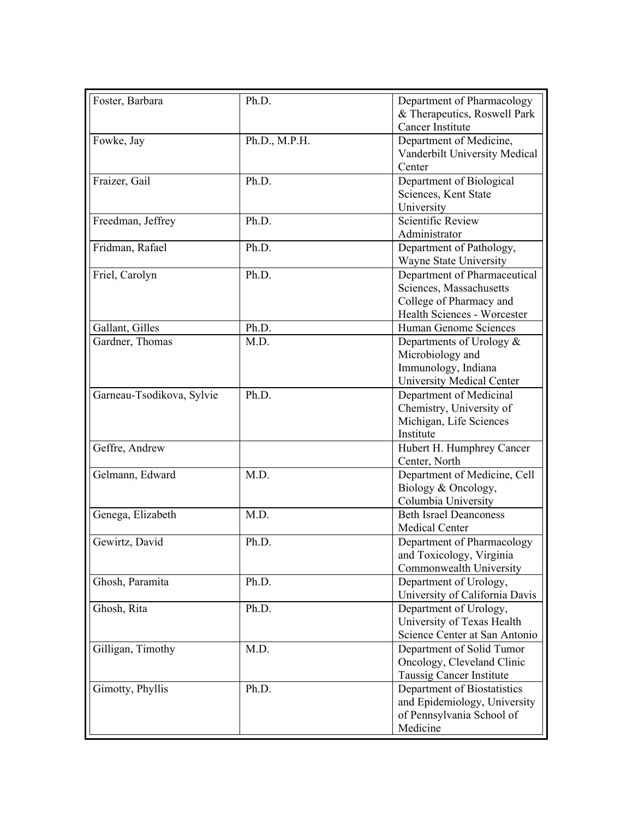| Foster, Barbara           | Ph.D.         | Department of Pharmacology<br>& Therapeutics, Roswell Park<br><b>Cancer Institute</b>                             |
|---------------------------|---------------|-------------------------------------------------------------------------------------------------------------------|
| Fowke, Jay                | Ph.D., M.P.H. | Department of Medicine,<br>Vanderbilt University Medical<br>Center                                                |
| Fraizer, Gail             | Ph.D.         | Department of Biological<br>Sciences, Kent State<br>University                                                    |
| Freedman, Jeffrey         | Ph.D.         | Scientific Review<br>Administrator                                                                                |
| Fridman, Rafael           | Ph.D.         | Department of Pathology,<br>Wayne State University                                                                |
| Friel, Carolyn            | Ph.D.         | Department of Pharmaceutical<br>Sciences, Massachusetts<br>College of Pharmacy and<br>Health Sciences - Worcester |
| Gallant, Gilles           | Ph.D.         | Human Genome Sciences                                                                                             |
| Gardner, Thomas           | M.D.          | Departments of Urology $\&$<br>Microbiology and<br>Immunology, Indiana<br><b>University Medical Center</b>        |
| Garneau-Tsodikova, Sylvie | Ph.D.         | Department of Medicinal<br>Chemistry, University of<br>Michigan, Life Sciences<br>Institute                       |
| Geffre, Andrew            |               | Hubert H. Humphrey Cancer<br>Center, North                                                                        |
| Gelmann, Edward           | M.D.          | Department of Medicine, Cell<br>Biology & Oncology,<br>Columbia University                                        |
| Genega, Elizabeth         | M.D.          | <b>Beth Israel Deanconess</b><br>Medical Center                                                                   |
| Gewirtz, David            | Ph.D.         | Department of Pharmacology<br>and Toxicology, Virginia<br>Commonwealth University                                 |
| Ghosh, Paramita           | Ph.D.         | Department of Urology,<br>University of California Davis                                                          |
| Ghosh, Rita               | Ph.D.         | Department of Urology,<br>University of Texas Health<br>Science Center at San Antonio                             |
| Gilligan, Timothy         | M.D.          | Department of Solid Tumor<br>Oncology, Cleveland Clinic<br>Taussig Cancer Institute                               |
| Gimotty, Phyllis          | Ph.D.         | Department of Biostatistics<br>and Epidemiology, University<br>of Pennsylvania School of<br>Medicine              |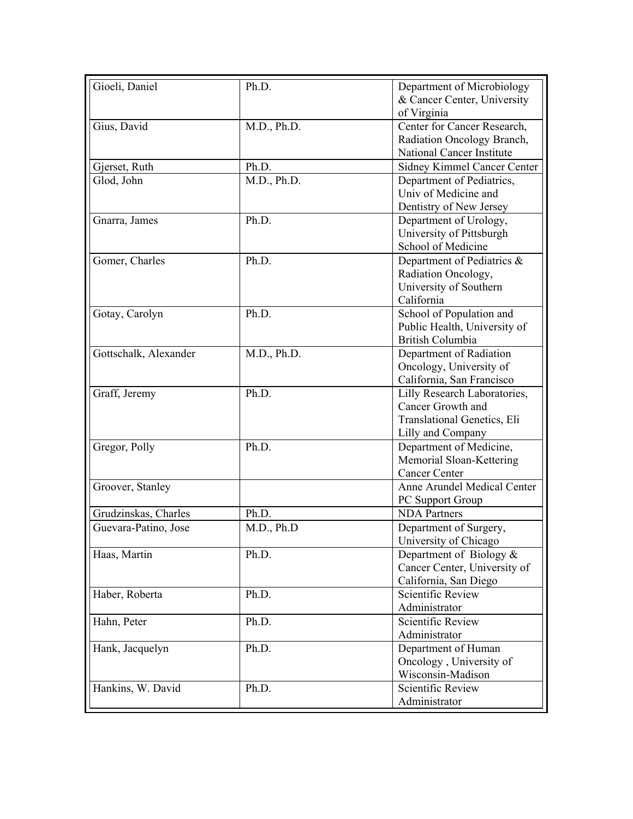| Gioeli, Daniel        | Ph.D.       | Department of Microbiology                        |
|-----------------------|-------------|---------------------------------------------------|
|                       |             | & Cancer Center, University<br>of Virginia        |
| Gius, David           | M.D., Ph.D. | Center for Cancer Research,                       |
|                       |             | Radiation Oncology Branch,                        |
|                       |             | <b>National Cancer Institute</b>                  |
| Gjerset, Ruth         | Ph.D.       | Sidney Kimmel Cancer Center                       |
| Glod, John            | M.D., Ph.D. | Department of Pediatrics,                         |
|                       |             | Univ of Medicine and                              |
|                       |             | Dentistry of New Jersey                           |
| Gnarra, James         | Ph.D.       | Department of Urology,                            |
|                       |             | University of Pittsburgh                          |
|                       |             | School of Medicine                                |
| Gomer, Charles        | Ph.D.       | Department of Pediatrics &                        |
|                       |             | Radiation Oncology,                               |
|                       |             | University of Southern                            |
|                       |             | California                                        |
| Gotay, Carolyn        | Ph.D.       | School of Population and                          |
|                       |             | Public Health, University of                      |
|                       |             | <b>British Columbia</b>                           |
| Gottschalk, Alexander | M.D., Ph.D. | Department of Radiation                           |
|                       |             | Oncology, University of                           |
|                       | Ph.D.       | California, San Francisco                         |
| Graff, Jeremy         |             | Lilly Research Laboratories,<br>Cancer Growth and |
|                       |             | Translational Genetics, Eli                       |
|                       |             | Lilly and Company                                 |
| Gregor, Polly         | Ph.D.       | Department of Medicine,                           |
|                       |             | Memorial Sloan-Kettering                          |
|                       |             | <b>Cancer Center</b>                              |
| Groover, Stanley      |             | Anne Arundel Medical Center                       |
|                       |             | PC Support Group                                  |
| Grudzinskas, Charles  | Ph.D.       | <b>NDA</b> Partners                               |
| Guevara-Patino, Jose  | M.D., Ph.D  | Department of Surgery,                            |
|                       |             | University of Chicago                             |
| Haas, Martin          | Ph.D.       | Department of Biology $\&$                        |
|                       |             | Cancer Center, University of                      |
|                       |             | California, San Diego                             |
| Haber, Roberta        | Ph.D.       | <b>Scientific Review</b>                          |
|                       |             | Administrator                                     |
| Hahn, Peter           | Ph.D.       | Scientific Review                                 |
|                       |             | Administrator                                     |
| Hank, Jacquelyn       | Ph.D.       | Department of Human                               |
|                       |             | Oncology, University of                           |
|                       |             | Wisconsin-Madison                                 |
| Hankins, W. David     | Ph.D.       | <b>Scientific Review</b>                          |
|                       |             | Administrator                                     |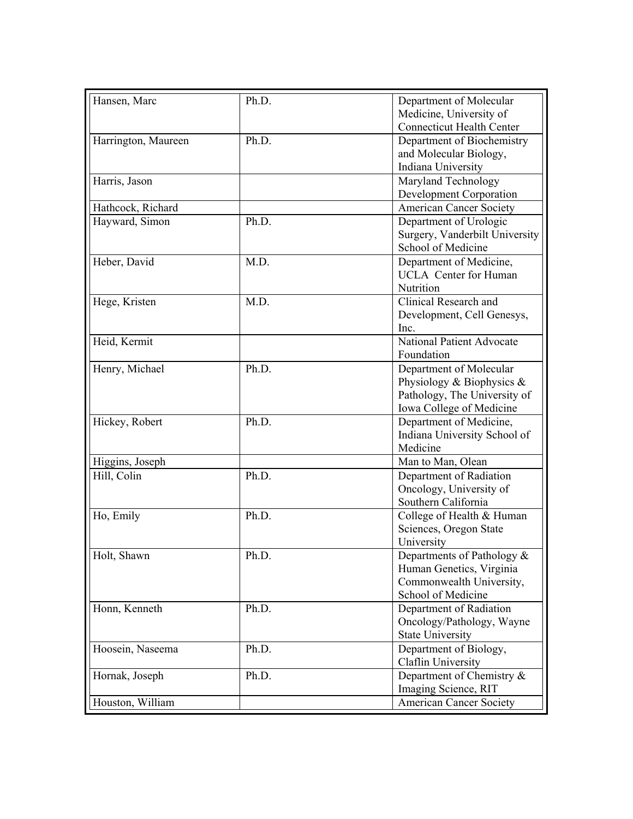| Hansen, Marc        | Ph.D. | Department of Molecular                  |
|---------------------|-------|------------------------------------------|
|                     |       | Medicine, University of                  |
|                     |       | <b>Connecticut Health Center</b>         |
| Harrington, Maureen | Ph.D. | Department of Biochemistry               |
|                     |       | and Molecular Biology,                   |
|                     |       | Indiana University                       |
| Harris, Jason       |       | Maryland Technology                      |
|                     |       | <b>Development Corporation</b>           |
| Hathcock, Richard   |       | <b>American Cancer Society</b>           |
| Hayward, Simon      | Ph.D. | Department of Urologic                   |
|                     |       | Surgery, Vanderbilt University           |
|                     |       | School of Medicine                       |
| Heber, David        | M.D.  | Department of Medicine,                  |
|                     |       | <b>UCLA</b> Center for Human             |
|                     |       | Nutrition                                |
| Hege, Kristen       | M.D.  | Clinical Research and                    |
|                     |       | Development, Cell Genesys,               |
|                     |       | Inc.                                     |
| Heid, Kermit        |       | <b>National Patient Advocate</b>         |
|                     |       | Foundation                               |
| Henry, Michael      | Ph.D. | Department of Molecular                  |
|                     |       | Physiology & Biophysics $\&$             |
|                     |       | Pathology, The University of             |
|                     |       | Iowa College of Medicine                 |
| Hickey, Robert      | Ph.D. | Department of Medicine,                  |
|                     |       |                                          |
|                     |       | Indiana University School of<br>Medicine |
|                     |       |                                          |
| Higgins, Joseph     |       | Man to Man, Olean                        |
| Hill, Colin         | Ph.D. | Department of Radiation                  |
|                     |       | Oncology, University of                  |
|                     |       | Southern California                      |
| Ho, Emily           | Ph.D. | College of Health & Human                |
|                     |       | Sciences, Oregon State                   |
|                     |       | University                               |
| Holt, Shawn         | Ph.D. | Departments of Pathology &               |
|                     |       | Human Genetics, Virginia                 |
|                     |       | Commonwealth University,                 |
|                     |       | School of Medicine                       |
| Honn, Kenneth       | Ph.D. | Department of Radiation                  |
|                     |       | Oncology/Pathology, Wayne                |
|                     |       | <b>State University</b>                  |
| Hoosein, Naseema    | Ph.D. | Department of Biology,                   |
|                     |       | Claflin University                       |
| Hornak, Joseph      | Ph.D. | Department of Chemistry &                |
|                     |       | Imaging Science, RIT                     |
| Houston, William    |       | <b>American Cancer Society</b>           |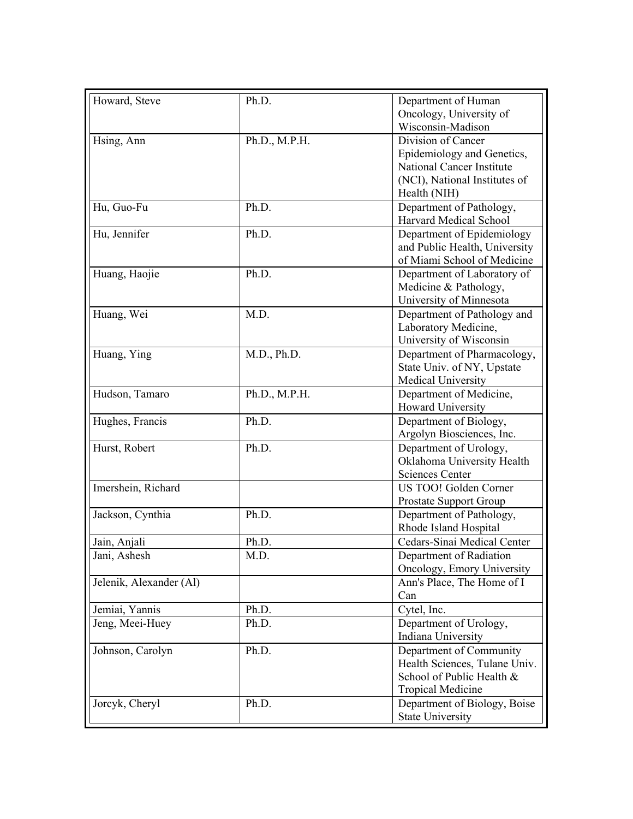| Howard, Steve           | Ph.D.         | Department of Human              |
|-------------------------|---------------|----------------------------------|
|                         |               | Oncology, University of          |
|                         |               | Wisconsin-Madison                |
| Hsing, Ann              | Ph.D., M.P.H. | Division of Cancer               |
|                         |               | Epidemiology and Genetics,       |
|                         |               | <b>National Cancer Institute</b> |
|                         |               | (NCI), National Institutes of    |
|                         |               | Health (NIH)                     |
| Hu, Guo-Fu              | Ph.D.         | Department of Pathology,         |
|                         |               | <b>Harvard Medical School</b>    |
| Hu, Jennifer            | Ph.D.         | Department of Epidemiology       |
|                         |               | and Public Health, University    |
|                         |               | of Miami School of Medicine      |
| Huang, Haojie           | Ph.D.         | Department of Laboratory of      |
|                         |               | Medicine & Pathology,            |
|                         |               | University of Minnesota          |
| Huang, Wei              | M.D.          | Department of Pathology and      |
|                         |               | Laboratory Medicine,             |
|                         |               | University of Wisconsin          |
| Huang, Ying             | M.D., Ph.D.   | Department of Pharmacology,      |
|                         |               | State Univ. of NY, Upstate       |
|                         |               | Medical University               |
| Hudson, Tamaro          | Ph.D., M.P.H. | Department of Medicine,          |
|                         |               | Howard University                |
| Hughes, Francis         | Ph.D.         | Department of Biology,           |
|                         |               | Argolyn Biosciences, Inc.        |
| Hurst, Robert           | Ph.D.         | Department of Urology,           |
|                         |               | Oklahoma University Health       |
|                         |               | <b>Sciences Center</b>           |
| Imershein, Richard      |               | US TOO! Golden Corner            |
|                         |               | Prostate Support Group           |
| Jackson, Cynthia        | Ph.D.         | Department of Pathology,         |
|                         |               | Rhode Island Hospital            |
| Jain, Anjali            | Ph.D.         | Cedars-Sinai Medical Center      |
| Jani, Ashesh            | M.D.          | Department of Radiation          |
|                         |               | Oncology, Emory University       |
| Jelenik, Alexander (Al) |               | Ann's Place, The Home of I       |
|                         |               | Can                              |
| Jemiai, Yannis          | Ph.D.         | Cytel, Inc.                      |
| Jeng, Meei-Huey         | Ph.D.         | Department of Urology,           |
|                         |               | Indiana University               |
| Johnson, Carolyn        | Ph.D.         | Department of Community          |
|                         |               | Health Sciences, Tulane Univ.    |
|                         |               | School of Public Health &        |
|                         |               | <b>Tropical Medicine</b>         |
| Jorcyk, Cheryl          | Ph.D.         | Department of Biology, Boise     |
|                         |               | <b>State University</b>          |
|                         |               |                                  |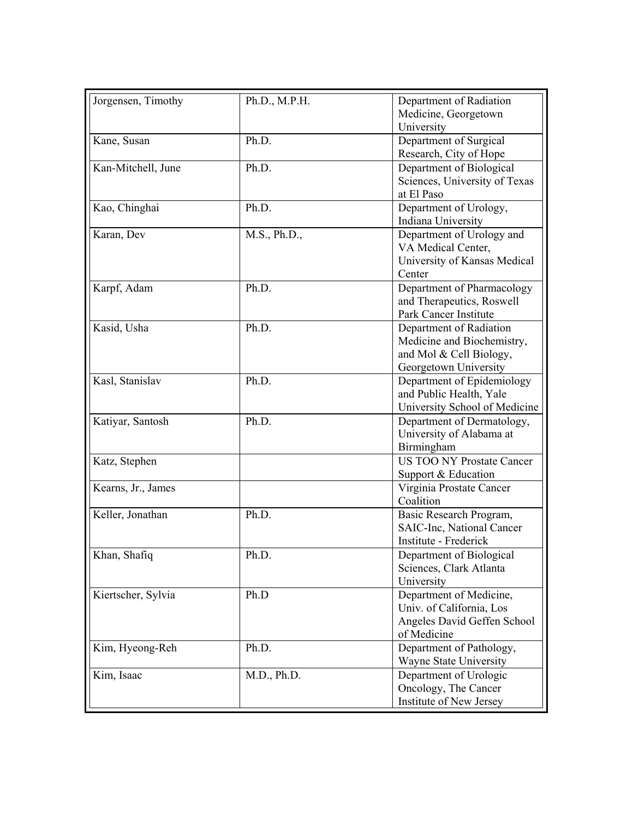| Jorgensen, Timothy | Ph.D., M.P.H. | Department of Radiation<br>Medicine, Georgetown<br>University                                             |
|--------------------|---------------|-----------------------------------------------------------------------------------------------------------|
| Kane, Susan        | Ph.D.         | Department of Surgical<br>Research, City of Hope                                                          |
| Kan-Mitchell, June | Ph.D.         | Department of Biological<br>Sciences, University of Texas<br>at El Paso                                   |
| Kao, Chinghai      | Ph.D.         | Department of Urology,<br>Indiana University                                                              |
| Karan, Dev         | M.S., Ph.D.,  | Department of Urology and<br>VA Medical Center,<br>University of Kansas Medical<br>Center                 |
| Karpf, Adam        | Ph.D.         | Department of Pharmacology<br>and Therapeutics, Roswell<br>Park Cancer Institute                          |
| Kasid, Usha        | Ph.D.         | Department of Radiation<br>Medicine and Biochemistry,<br>and Mol & Cell Biology,<br>Georgetown University |
| Kasl, Stanislav    | Ph.D.         | Department of Epidemiology<br>and Public Health, Yale<br>University School of Medicine                    |
| Katiyar, Santosh   | Ph.D.         | Department of Dermatology,<br>University of Alabama at<br>Birmingham                                      |
| Katz, Stephen      |               | <b>US TOO NY Prostate Cancer</b><br>Support & Education                                                   |
| Kearns, Jr., James |               | Virginia Prostate Cancer<br>Coalition                                                                     |
| Keller, Jonathan   | Ph.D.         | Basic Research Program,<br>SAIC-Inc, National Cancer<br>Institute - Frederick                             |
| Khan, Shafiq       | Ph.D.         | Department of Biological<br>Sciences, Clark Atlanta<br>University                                         |
| Kiertscher, Sylvia | Ph.D          | Department of Medicine,<br>Univ. of California, Los<br>Angeles David Geffen School<br>of Medicine         |
| Kim, Hyeong-Reh    | Ph.D.         | Department of Pathology,<br>Wayne State University                                                        |
| Kim, Isaac         | M.D., Ph.D.   | Department of Urologic<br>Oncology, The Cancer<br>Institute of New Jersey                                 |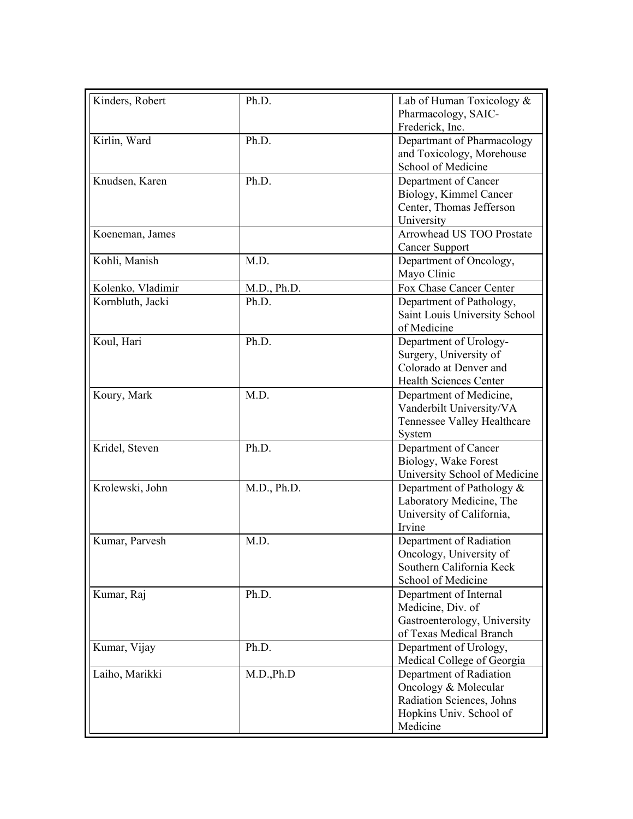| Kinders, Robert   | Ph.D.       | Lab of Human Toxicology $&$<br>Pharmacology, SAIC-                                                                  |
|-------------------|-------------|---------------------------------------------------------------------------------------------------------------------|
|                   |             | Frederick, Inc.                                                                                                     |
| Kirlin, Ward      | Ph.D.       | Departmant of Pharmacology<br>and Toxicology, Morehouse<br>School of Medicine                                       |
| Knudsen, Karen    | Ph.D.       | Department of Cancer<br>Biology, Kimmel Cancer<br>Center, Thomas Jefferson<br>University                            |
| Koeneman, James   |             | Arrowhead US TOO Prostate<br><b>Cancer Support</b>                                                                  |
| Kohli, Manish     | M.D.        | Department of Oncology,<br>Mayo Clinic                                                                              |
| Kolenko, Vladimir | M.D., Ph.D. | Fox Chase Cancer Center                                                                                             |
| Kornbluth, Jacki  | Ph.D.       | Department of Pathology,<br>Saint Louis University School<br>of Medicine                                            |
| Koul, Hari        | Ph.D.       | Department of Urology-<br>Surgery, University of<br>Colorado at Denver and<br><b>Health Sciences Center</b>         |
| Koury, Mark       | M.D.        | Department of Medicine,<br>Vanderbilt University/VA<br>Tennessee Valley Healthcare<br>System                        |
| Kridel, Steven    | Ph.D.       | Department of Cancer<br>Biology, Wake Forest<br>University School of Medicine                                       |
| Krolewski, John   | M.D., Ph.D. | Department of Pathology $\&$<br>Laboratory Medicine, The<br>University of California,<br>Irvine                     |
| Kumar, Parvesh    | M.D.        | Department of Radiation<br>Oncology, University of<br>Southern California Keck<br>School of Medicine                |
| Kumar, Raj        | Ph.D.       | Department of Internal<br>Medicine, Div. of<br>Gastroenterology, University<br>of Texas Medical Branch              |
| Kumar, Vijay      | Ph.D.       | Department of Urology,<br>Medical College of Georgia                                                                |
| Laiho, Marikki    | M.D., Ph.D  | Department of Radiation<br>Oncology & Molecular<br>Radiation Sciences, Johns<br>Hopkins Univ. School of<br>Medicine |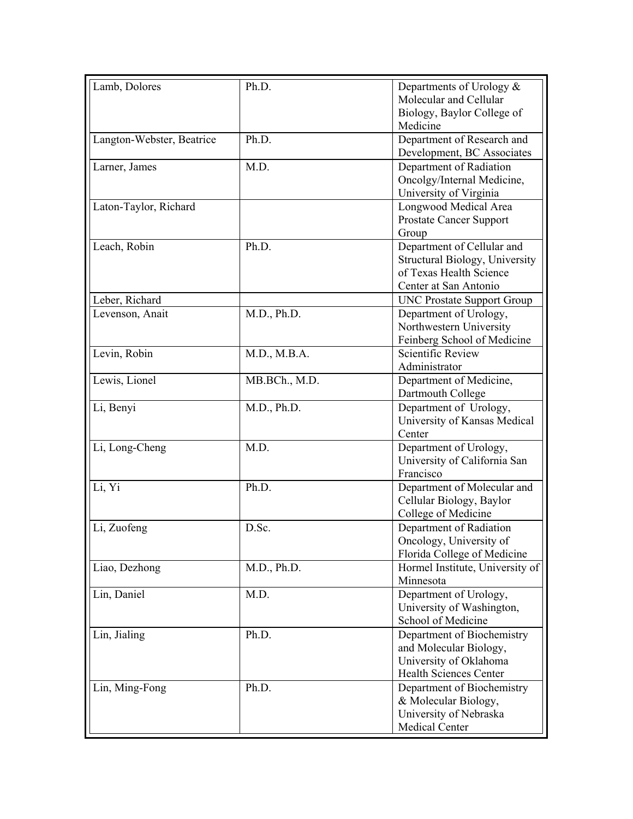| Lamb, Dolores             | Ph.D.         | Departments of Urology $\&$<br>Molecular and Cellular<br>Biology, Baylor College of<br>Medicine                  |
|---------------------------|---------------|------------------------------------------------------------------------------------------------------------------|
| Langton-Webster, Beatrice | Ph.D.         | Department of Research and<br>Development, BC Associates                                                         |
| Larner, James             | M.D.          | Department of Radiation<br>Oncolgy/Internal Medicine,<br>University of Virginia                                  |
| Laton-Taylor, Richard     |               | Longwood Medical Area<br>Prostate Cancer Support<br>Group                                                        |
| Leach, Robin              | Ph.D.         | Department of Cellular and<br>Structural Biology, University<br>of Texas Health Science<br>Center at San Antonio |
| Leber, Richard            |               | <b>UNC Prostate Support Group</b>                                                                                |
| Levenson, Anait           | M.D., Ph.D.   | Department of Urology,<br>Northwestern University<br>Feinberg School of Medicine                                 |
| Levin, Robin              | M.D., M.B.A.  | Scientific Review<br>Administrator                                                                               |
| Lewis, Lionel             | MB.BCh., M.D. | Department of Medicine,<br>Dartmouth College                                                                     |
| Li, Benyi                 | M.D., Ph.D.   | Department of Urology,<br>University of Kansas Medical<br>Center                                                 |
| Li, Long-Cheng            | M.D.          | Department of Urology,<br>University of California San<br>Francisco                                              |
| Li, Yi                    | Ph.D.         | Department of Molecular and<br>Cellular Biology, Baylor<br>College of Medicine                                   |
| Li, Zuofeng               | D.Sc.         | Department of Radiation<br>Oncology, University of<br>Florida College of Medicine                                |
| Liao, Dezhong             | M.D., Ph.D.   | Hormel Institute, University of<br>Minnesota                                                                     |
| Lin, Daniel               | M.D.          | Department of Urology,<br>University of Washington,<br>School of Medicine                                        |
| Lin, Jialing              | Ph.D.         | Department of Biochemistry<br>and Molecular Biology,<br>University of Oklahoma<br><b>Health Sciences Center</b>  |
| Lin, Ming-Fong            | Ph.D.         | Department of Biochemistry<br>& Molecular Biology,<br>University of Nebraska<br>Medical Center                   |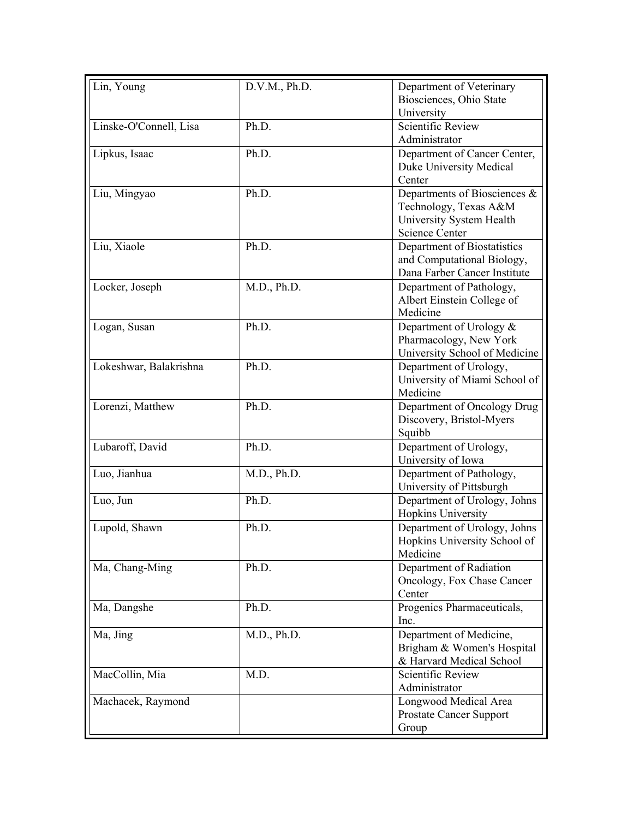| Department of Veterinary<br>Biosciences, Ohio State<br>University<br><b>Scientific Review</b><br>Linske-O'Connell, Lisa<br>Ph.D.<br>Administrator<br>Ph.D.<br>Lipkus, Isaac<br>Department of Cancer Center,<br>Duke University Medical<br>Center<br>Liu, Mingyao<br>Ph.D.<br>Departments of Biosciences &<br>Technology, Texas A&M<br>University System Health<br><b>Science Center</b><br>Liu, Xiaole<br>Ph.D.<br>Department of Biostatistics<br>and Computational Biology,<br>Dana Farber Cancer Institute<br>M.D., Ph.D.<br>Locker, Joseph<br>Department of Pathology,<br>Albert Einstein College of<br>Medicine<br>Ph.D.<br>Department of Urology &<br>Logan, Susan<br>Pharmacology, New York<br>University School of Medicine<br>Ph.D.<br>Lokeshwar, Balakrishna<br>Department of Urology,<br>University of Miami School of<br>Medicine<br>Lorenzi, Matthew<br>Ph.D.<br>Department of Oncology Drug<br>Discovery, Bristol-Myers<br>Squibb<br>Lubaroff, David<br>Ph.D.<br>Department of Urology,<br>University of Iowa<br>Luo, Jianhua<br>M.D., Ph.D.<br>Department of Pathology, |
|---------------------------------------------------------------------------------------------------------------------------------------------------------------------------------------------------------------------------------------------------------------------------------------------------------------------------------------------------------------------------------------------------------------------------------------------------------------------------------------------------------------------------------------------------------------------------------------------------------------------------------------------------------------------------------------------------------------------------------------------------------------------------------------------------------------------------------------------------------------------------------------------------------------------------------------------------------------------------------------------------------------------------------------------------------------------------------------|
|                                                                                                                                                                                                                                                                                                                                                                                                                                                                                                                                                                                                                                                                                                                                                                                                                                                                                                                                                                                                                                                                                       |
|                                                                                                                                                                                                                                                                                                                                                                                                                                                                                                                                                                                                                                                                                                                                                                                                                                                                                                                                                                                                                                                                                       |
|                                                                                                                                                                                                                                                                                                                                                                                                                                                                                                                                                                                                                                                                                                                                                                                                                                                                                                                                                                                                                                                                                       |
|                                                                                                                                                                                                                                                                                                                                                                                                                                                                                                                                                                                                                                                                                                                                                                                                                                                                                                                                                                                                                                                                                       |
|                                                                                                                                                                                                                                                                                                                                                                                                                                                                                                                                                                                                                                                                                                                                                                                                                                                                                                                                                                                                                                                                                       |
|                                                                                                                                                                                                                                                                                                                                                                                                                                                                                                                                                                                                                                                                                                                                                                                                                                                                                                                                                                                                                                                                                       |
|                                                                                                                                                                                                                                                                                                                                                                                                                                                                                                                                                                                                                                                                                                                                                                                                                                                                                                                                                                                                                                                                                       |
|                                                                                                                                                                                                                                                                                                                                                                                                                                                                                                                                                                                                                                                                                                                                                                                                                                                                                                                                                                                                                                                                                       |
|                                                                                                                                                                                                                                                                                                                                                                                                                                                                                                                                                                                                                                                                                                                                                                                                                                                                                                                                                                                                                                                                                       |
|                                                                                                                                                                                                                                                                                                                                                                                                                                                                                                                                                                                                                                                                                                                                                                                                                                                                                                                                                                                                                                                                                       |
|                                                                                                                                                                                                                                                                                                                                                                                                                                                                                                                                                                                                                                                                                                                                                                                                                                                                                                                                                                                                                                                                                       |
|                                                                                                                                                                                                                                                                                                                                                                                                                                                                                                                                                                                                                                                                                                                                                                                                                                                                                                                                                                                                                                                                                       |
|                                                                                                                                                                                                                                                                                                                                                                                                                                                                                                                                                                                                                                                                                                                                                                                                                                                                                                                                                                                                                                                                                       |
|                                                                                                                                                                                                                                                                                                                                                                                                                                                                                                                                                                                                                                                                                                                                                                                                                                                                                                                                                                                                                                                                                       |
|                                                                                                                                                                                                                                                                                                                                                                                                                                                                                                                                                                                                                                                                                                                                                                                                                                                                                                                                                                                                                                                                                       |
|                                                                                                                                                                                                                                                                                                                                                                                                                                                                                                                                                                                                                                                                                                                                                                                                                                                                                                                                                                                                                                                                                       |
|                                                                                                                                                                                                                                                                                                                                                                                                                                                                                                                                                                                                                                                                                                                                                                                                                                                                                                                                                                                                                                                                                       |
|                                                                                                                                                                                                                                                                                                                                                                                                                                                                                                                                                                                                                                                                                                                                                                                                                                                                                                                                                                                                                                                                                       |
|                                                                                                                                                                                                                                                                                                                                                                                                                                                                                                                                                                                                                                                                                                                                                                                                                                                                                                                                                                                                                                                                                       |
|                                                                                                                                                                                                                                                                                                                                                                                                                                                                                                                                                                                                                                                                                                                                                                                                                                                                                                                                                                                                                                                                                       |
|                                                                                                                                                                                                                                                                                                                                                                                                                                                                                                                                                                                                                                                                                                                                                                                                                                                                                                                                                                                                                                                                                       |
|                                                                                                                                                                                                                                                                                                                                                                                                                                                                                                                                                                                                                                                                                                                                                                                                                                                                                                                                                                                                                                                                                       |
|                                                                                                                                                                                                                                                                                                                                                                                                                                                                                                                                                                                                                                                                                                                                                                                                                                                                                                                                                                                                                                                                                       |
|                                                                                                                                                                                                                                                                                                                                                                                                                                                                                                                                                                                                                                                                                                                                                                                                                                                                                                                                                                                                                                                                                       |
|                                                                                                                                                                                                                                                                                                                                                                                                                                                                                                                                                                                                                                                                                                                                                                                                                                                                                                                                                                                                                                                                                       |
|                                                                                                                                                                                                                                                                                                                                                                                                                                                                                                                                                                                                                                                                                                                                                                                                                                                                                                                                                                                                                                                                                       |
|                                                                                                                                                                                                                                                                                                                                                                                                                                                                                                                                                                                                                                                                                                                                                                                                                                                                                                                                                                                                                                                                                       |
|                                                                                                                                                                                                                                                                                                                                                                                                                                                                                                                                                                                                                                                                                                                                                                                                                                                                                                                                                                                                                                                                                       |
|                                                                                                                                                                                                                                                                                                                                                                                                                                                                                                                                                                                                                                                                                                                                                                                                                                                                                                                                                                                                                                                                                       |
| University of Pittsburgh                                                                                                                                                                                                                                                                                                                                                                                                                                                                                                                                                                                                                                                                                                                                                                                                                                                                                                                                                                                                                                                              |
| Ph.D.<br>Department of Urology, Johns<br>Luo, Jun                                                                                                                                                                                                                                                                                                                                                                                                                                                                                                                                                                                                                                                                                                                                                                                                                                                                                                                                                                                                                                     |
| Hopkins University                                                                                                                                                                                                                                                                                                                                                                                                                                                                                                                                                                                                                                                                                                                                                                                                                                                                                                                                                                                                                                                                    |
| Lupold, Shawn<br>Ph.D.<br>Department of Urology, Johns                                                                                                                                                                                                                                                                                                                                                                                                                                                                                                                                                                                                                                                                                                                                                                                                                                                                                                                                                                                                                                |
| Hopkins University School of                                                                                                                                                                                                                                                                                                                                                                                                                                                                                                                                                                                                                                                                                                                                                                                                                                                                                                                                                                                                                                                          |
| Medicine                                                                                                                                                                                                                                                                                                                                                                                                                                                                                                                                                                                                                                                                                                                                                                                                                                                                                                                                                                                                                                                                              |
| Ma, Chang-Ming<br>Ph.D.<br>Department of Radiation                                                                                                                                                                                                                                                                                                                                                                                                                                                                                                                                                                                                                                                                                                                                                                                                                                                                                                                                                                                                                                    |
| Oncology, Fox Chase Cancer                                                                                                                                                                                                                                                                                                                                                                                                                                                                                                                                                                                                                                                                                                                                                                                                                                                                                                                                                                                                                                                            |
| Center                                                                                                                                                                                                                                                                                                                                                                                                                                                                                                                                                                                                                                                                                                                                                                                                                                                                                                                                                                                                                                                                                |
| Ph.D.<br>Progenics Pharmaceuticals,<br>Ma, Dangshe                                                                                                                                                                                                                                                                                                                                                                                                                                                                                                                                                                                                                                                                                                                                                                                                                                                                                                                                                                                                                                    |
| Inc.                                                                                                                                                                                                                                                                                                                                                                                                                                                                                                                                                                                                                                                                                                                                                                                                                                                                                                                                                                                                                                                                                  |
| Ma, Jing<br>M.D., Ph.D.<br>Department of Medicine,                                                                                                                                                                                                                                                                                                                                                                                                                                                                                                                                                                                                                                                                                                                                                                                                                                                                                                                                                                                                                                    |
| Brigham & Women's Hospital                                                                                                                                                                                                                                                                                                                                                                                                                                                                                                                                                                                                                                                                                                                                                                                                                                                                                                                                                                                                                                                            |
| & Harvard Medical School                                                                                                                                                                                                                                                                                                                                                                                                                                                                                                                                                                                                                                                                                                                                                                                                                                                                                                                                                                                                                                                              |
| Scientific Review<br>MacCollin, Mia<br>M.D.                                                                                                                                                                                                                                                                                                                                                                                                                                                                                                                                                                                                                                                                                                                                                                                                                                                                                                                                                                                                                                           |
| Administrator                                                                                                                                                                                                                                                                                                                                                                                                                                                                                                                                                                                                                                                                                                                                                                                                                                                                                                                                                                                                                                                                         |
| Machacek, Raymond<br>Longwood Medical Area                                                                                                                                                                                                                                                                                                                                                                                                                                                                                                                                                                                                                                                                                                                                                                                                                                                                                                                                                                                                                                            |
| <b>Prostate Cancer Support</b>                                                                                                                                                                                                                                                                                                                                                                                                                                                                                                                                                                                                                                                                                                                                                                                                                                                                                                                                                                                                                                                        |
| Group                                                                                                                                                                                                                                                                                                                                                                                                                                                                                                                                                                                                                                                                                                                                                                                                                                                                                                                                                                                                                                                                                 |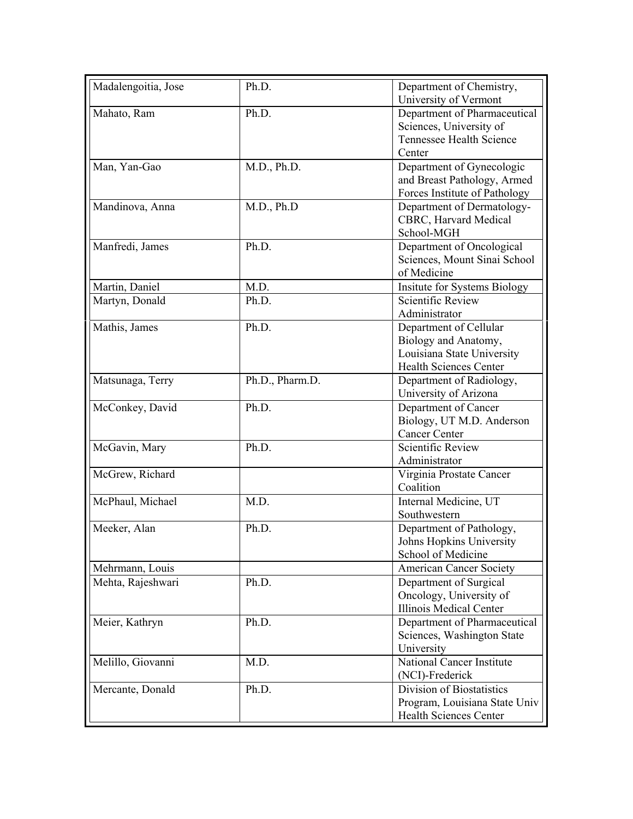| Madalengoitia, Jose | Ph.D.           | Department of Chemistry,<br>University of Vermont                                                      |
|---------------------|-----------------|--------------------------------------------------------------------------------------------------------|
| Mahato, Ram         | Ph.D.           | Department of Pharmaceutical<br>Sciences, University of                                                |
|                     |                 | Tennessee Health Science<br>Center                                                                     |
| Man, Yan-Gao        | M.D., Ph.D.     | Department of Gynecologic<br>and Breast Pathology, Armed<br>Forces Institute of Pathology              |
| Mandinova, Anna     | M.D., Ph.D      | Department of Dermatology-<br>CBRC, Harvard Medical<br>School-MGH                                      |
| Manfredi, James     | Ph.D.           | Department of Oncological<br>Sciences, Mount Sinai School<br>of Medicine                               |
| Martin, Daniel      | M.D.            | <b>Insitute for Systems Biology</b>                                                                    |
| Martyn, Donald      | Ph.D.           | <b>Scientific Review</b><br>Administrator                                                              |
| Mathis, James       | Ph.D.           | Department of Cellular<br>Biology and Anatomy,<br>Louisiana State University<br>Health Sciences Center |
| Matsunaga, Terry    | Ph.D., Pharm.D. | Department of Radiology,<br>University of Arizona                                                      |
| McConkey, David     | Ph.D.           | Department of Cancer<br>Biology, UT M.D. Anderson<br><b>Cancer Center</b>                              |
| McGavin, Mary       | Ph.D.           | <b>Scientific Review</b><br>Administrator                                                              |
| McGrew, Richard     |                 | Virginia Prostate Cancer<br>Coalition                                                                  |
| McPhaul, Michael    | M.D.            | Internal Medicine, UT<br>Southwestern                                                                  |
| Meeker, Alan        | Ph.D.           | Department of Pathology,<br>Johns Hopkins University<br>School of Medicine                             |
| Mehrmann, Louis     |                 | <b>American Cancer Society</b>                                                                         |
| Mehta, Rajeshwari   | Ph.D.           | Department of Surgical<br>Oncology, University of<br>Illinois Medical Center                           |
| Meier, Kathryn      | Ph.D.           | Department of Pharmaceutical<br>Sciences, Washington State<br>University                               |
| Melillo, Giovanni   | M.D.            | <b>National Cancer Institute</b><br>(NCI)-Frederick                                                    |
| Mercante, Donald    | Ph.D.           | Division of Biostatistics<br>Program, Louisiana State Univ<br><b>Health Sciences Center</b>            |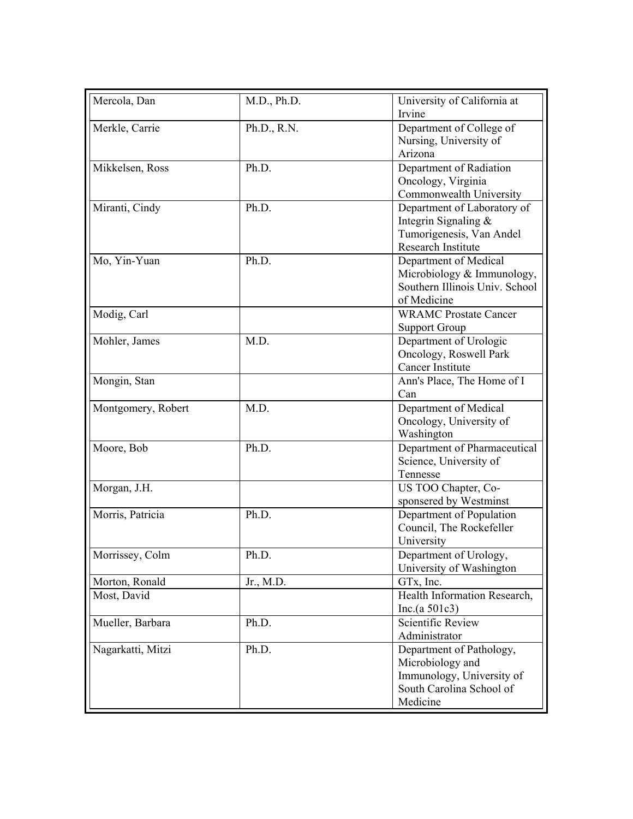| Mercola, Dan       | M.D., Ph.D. | University of California at                           |
|--------------------|-------------|-------------------------------------------------------|
|                    |             | Irvine                                                |
| Merkle, Carrie     | Ph.D., R.N. | Department of College of                              |
|                    |             | Nursing, University of<br>Arizona                     |
|                    | Ph.D.       |                                                       |
| Mikkelsen, Ross    |             | Department of Radiation<br>Oncology, Virginia         |
|                    |             | Commonwealth University                               |
| Miranti, Cindy     | Ph.D.       | Department of Laboratory of                           |
|                    |             | Integrin Signaling &                                  |
|                    |             | Tumorigenesis, Van Andel                              |
|                    |             | <b>Research Institute</b>                             |
| Mo, Yin-Yuan       | Ph.D.       | Department of Medical                                 |
|                    |             | Microbiology & Immunology,                            |
|                    |             | Southern Illinois Univ. School                        |
|                    |             | of Medicine                                           |
| Modig, Carl        |             | <b>WRAMC Prostate Cancer</b>                          |
|                    |             | <b>Support Group</b>                                  |
| Mohler, James      | M.D.        | Department of Urologic                                |
|                    |             | Oncology, Roswell Park                                |
|                    |             | Cancer Institute                                      |
| Mongin, Stan       |             | Ann's Place, The Home of I                            |
|                    |             | Can                                                   |
| Montgomery, Robert | M.D.        | Department of Medical                                 |
|                    |             | Oncology, University of                               |
|                    |             | Washington                                            |
| Moore, Bob         | Ph.D.       | Department of Pharmaceutical                          |
|                    |             | Science, University of                                |
|                    |             | Tennesse                                              |
| Morgan, J.H.       |             | US TOO Chapter, Co-                                   |
|                    |             | sponsered by Westminst                                |
| Morris, Patricia   | Ph.D.       | Department of Population                              |
|                    |             | Council, The Rockefeller                              |
|                    |             | University                                            |
| Morrissey, Colm    | Ph.D.       | Department of Urology,                                |
|                    |             | University of Washington                              |
| Morton, Ronald     | Jr., M.D.   | GTx, Inc.                                             |
| Most, David        |             | Health Information Research,                          |
|                    |             | Inc. $(a 501c3)$                                      |
| Mueller, Barbara   | Ph.D.       | Scientific Review                                     |
|                    |             | Administrator                                         |
| Nagarkatti, Mitzi  | Ph.D.       | Department of Pathology,                              |
|                    |             | Microbiology and                                      |
|                    |             | Immunology, University of<br>South Carolina School of |
|                    |             |                                                       |
|                    |             | Medicine                                              |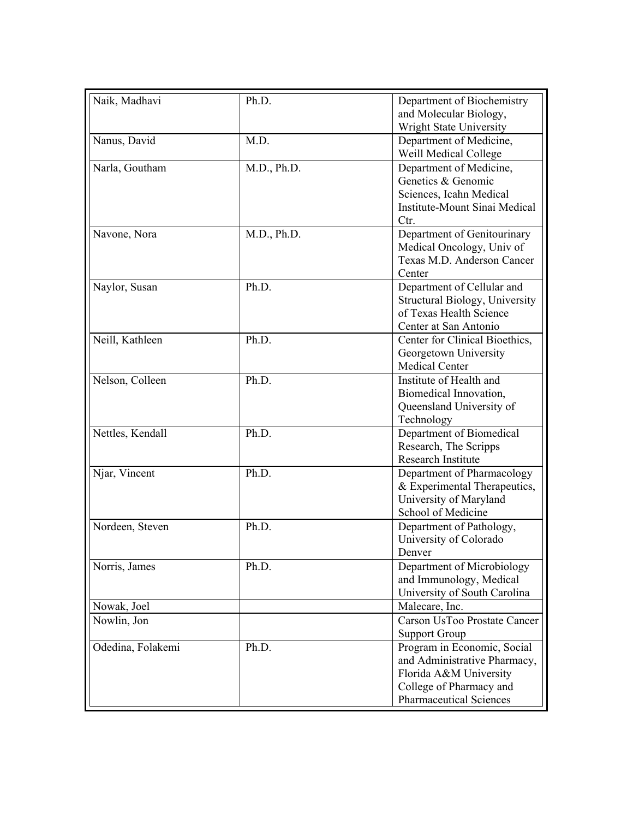| Naik, Madhavi     | Ph.D.       | Department of Biochemistry           |
|-------------------|-------------|--------------------------------------|
|                   |             | and Molecular Biology,               |
|                   |             | Wright State University              |
| Nanus, David      | M.D.        | Department of Medicine,              |
|                   |             | Weill Medical College                |
| Narla, Goutham    | M.D., Ph.D. | Department of Medicine,              |
|                   |             | Genetics & Genomic                   |
|                   |             | Sciences, Icahn Medical              |
|                   |             | <b>Institute-Mount Sinai Medical</b> |
|                   |             | Ctr.                                 |
| Navone, Nora      | M.D., Ph.D. | Department of Genitourinary          |
|                   |             | Medical Oncology, Univ of            |
|                   |             | Texas M.D. Anderson Cancer           |
|                   |             | Center                               |
| Naylor, Susan     | Ph.D.       | Department of Cellular and           |
|                   |             | Structural Biology, University       |
|                   |             | of Texas Health Science              |
|                   |             | Center at San Antonio                |
| Neill, Kathleen   | Ph.D.       | Center for Clinical Bioethics,       |
|                   |             | Georgetown University                |
|                   |             | <b>Medical Center</b>                |
| Nelson, Colleen   | Ph.D.       | Institute of Health and              |
|                   |             | Biomedical Innovation,               |
|                   |             | Queensland University of             |
|                   |             | Technology                           |
| Nettles, Kendall  | Ph.D.       | Department of Biomedical             |
|                   |             | Research, The Scripps                |
|                   |             | Research Institute                   |
| Njar, Vincent     | Ph.D.       | Department of Pharmacology           |
|                   |             | & Experimental Therapeutics,         |
|                   |             | University of Maryland               |
|                   |             | School of Medicine                   |
| Nordeen, Steven   | Ph.D.       | Department of Pathology,             |
|                   |             | University of Colorado               |
|                   |             | Denver                               |
| Norris, James     | Ph.D.       | Department of Microbiology           |
|                   |             | and Immunology, Medical              |
|                   |             | University of South Carolina         |
| Nowak, Joel       |             | Malecare, Inc.                       |
| Nowlin, Jon       |             | Carson UsToo Prostate Cancer         |
|                   |             | <b>Support Group</b>                 |
| Odedina, Folakemi | Ph.D.       | Program in Economic, Social          |
|                   |             | and Administrative Pharmacy,         |
|                   |             | Florida A&M University               |
|                   |             | College of Pharmacy and              |
|                   |             | <b>Pharmaceutical Sciences</b>       |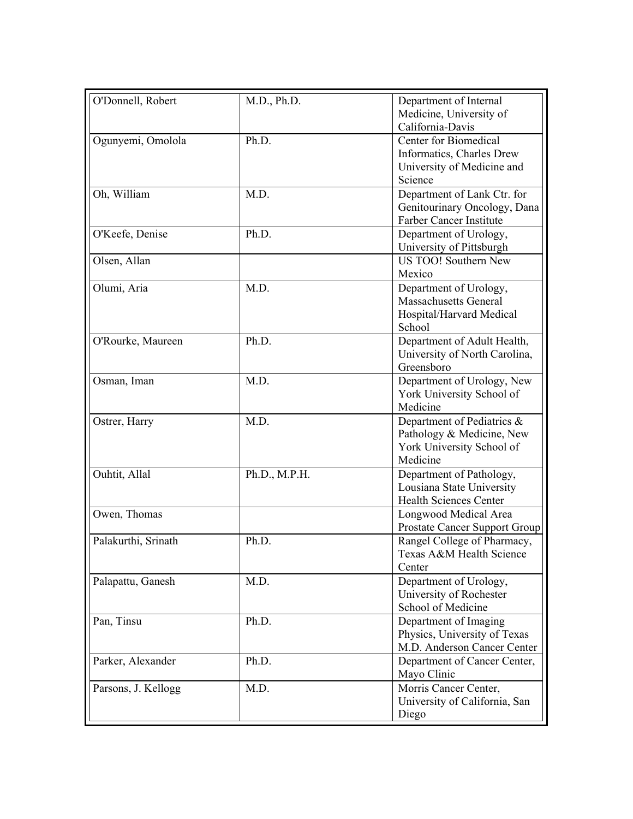| O'Donnell, Robert   | M.D., Ph.D.   | Department of Internal                                      |
|---------------------|---------------|-------------------------------------------------------------|
|                     |               | Medicine, University of<br>California-Davis                 |
| Ogunyemi, Omolola   | Ph.D.         | Center for Biomedical                                       |
|                     |               | Informatics, Charles Drew                                   |
|                     |               | University of Medicine and                                  |
|                     |               | Science                                                     |
| Oh, William         | M.D.          | Department of Lank Ctr. for                                 |
|                     |               | Genitourinary Oncology, Dana                                |
|                     |               | Farber Cancer Institute                                     |
| O'Keefe, Denise     | Ph.D.         | Department of Urology,                                      |
|                     |               | University of Pittsburgh                                    |
| Olsen, Allan        |               | <b>US TOO!</b> Southern New                                 |
|                     |               | Mexico                                                      |
| Olumi, Aria         | M.D.          | Department of Urology,                                      |
|                     |               | <b>Massachusetts General</b>                                |
|                     |               | Hospital/Harvard Medical                                    |
|                     |               | School                                                      |
| O'Rourke, Maureen   | Ph.D.         | Department of Adult Health,                                 |
|                     |               | University of North Carolina,                               |
|                     |               | Greensboro                                                  |
| Osman, Iman         | M.D.          | Department of Urology, New                                  |
|                     |               | York University School of                                   |
|                     |               | Medicine                                                    |
| Ostrer, Harry       | M.D.          | Department of Pediatrics &                                  |
|                     |               | Pathology & Medicine, New                                   |
|                     |               | York University School of                                   |
|                     |               | Medicine                                                    |
| Ouhtit, Allal       | Ph.D., M.P.H. | Department of Pathology,                                    |
|                     |               | Lousiana State University                                   |
|                     |               | <b>Health Sciences Center</b>                               |
| Owen, Thomas        |               | Longwood Medical Area                                       |
|                     |               | Prostate Cancer Support Group                               |
| Palakurthi, Srinath | Ph.D.         | Rangel College of Pharmacy,                                 |
|                     |               | Texas A&M Health Science                                    |
|                     |               | Center                                                      |
| Palapattu, Ganesh   | M.D.          | Department of Urology,                                      |
|                     |               | University of Rochester                                     |
|                     |               | School of Medicine                                          |
| Pan, Tinsu          | Ph.D.         | Department of Imaging                                       |
|                     |               | Physics, University of Texas<br>M.D. Anderson Cancer Center |
|                     |               |                                                             |
| Parker, Alexander   | Ph.D.         | Department of Cancer Center,<br>Mayo Clinic                 |
| Parsons, J. Kellogg | M.D.          | Morris Cancer Center,                                       |
|                     |               | University of California, San                               |
|                     |               | Diego                                                       |
|                     |               |                                                             |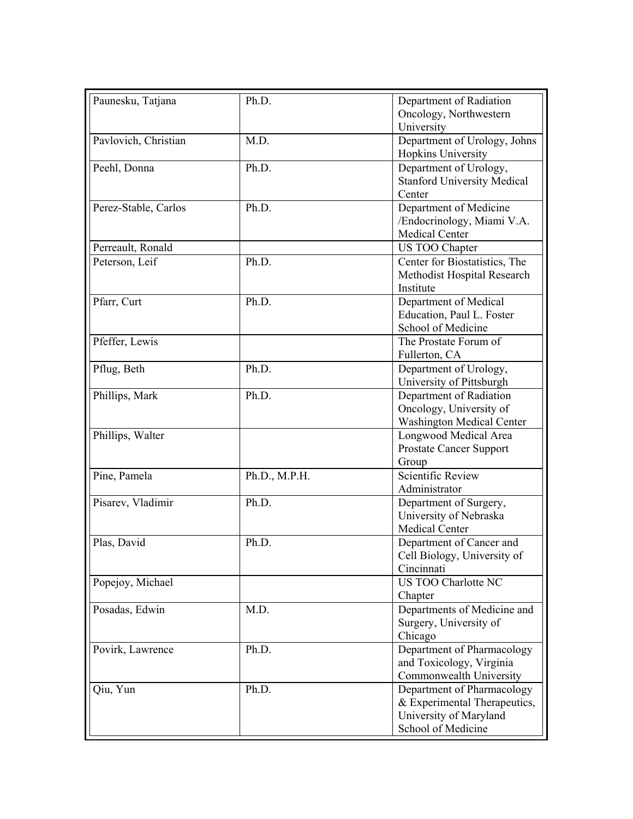| Paunesku, Tatjana    | Ph.D.         | Department of Radiation            |
|----------------------|---------------|------------------------------------|
|                      |               | Oncology, Northwestern             |
|                      |               | University                         |
| Pavlovich, Christian | M.D.          | Department of Urology, Johns       |
|                      |               | Hopkins University                 |
| Peehl, Donna         | Ph.D.         | Department of Urology,             |
|                      |               | <b>Stanford University Medical</b> |
|                      |               | Center                             |
| Perez-Stable, Carlos | Ph.D.         | Department of Medicine             |
|                      |               | /Endocrinology, Miami V.A.         |
|                      |               | <b>Medical Center</b>              |
| Perreault, Ronald    |               | US TOO Chapter                     |
| Peterson, Leif       | Ph.D.         | Center for Biostatistics, The      |
|                      |               | Methodist Hospital Research        |
|                      |               | Institute                          |
| Pfarr, Curt          | Ph.D.         | Department of Medical              |
|                      |               | Education, Paul L. Foster          |
|                      |               | School of Medicine                 |
| Pfeffer, Lewis       |               | The Prostate Forum of              |
|                      |               | Fullerton, CA                      |
| Pflug, Beth          | Ph.D.         | Department of Urology,             |
|                      |               | University of Pittsburgh           |
| Phillips, Mark       | Ph.D.         | Department of Radiation            |
|                      |               | Oncology, University of            |
|                      |               | <b>Washington Medical Center</b>   |
| Phillips, Walter     |               | Longwood Medical Area              |
|                      |               | <b>Prostate Cancer Support</b>     |
|                      |               | Group                              |
| Pine, Pamela         | Ph.D., M.P.H. | Scientific Review                  |
|                      |               | Administrator                      |
| Pisarev, Vladimir    | Ph.D.         | Department of Surgery,             |
|                      |               | University of Nebraska             |
|                      |               | Medical Center                     |
| Plas, David          | Ph.D.         | Department of Cancer and           |
|                      |               | Cell Biology, University of        |
|                      |               | Cincinnati                         |
| Popejoy, Michael     |               | <b>US TOO Charlotte NC</b>         |
|                      |               | Chapter                            |
| Posadas, Edwin       | M.D.          | Departments of Medicine and        |
|                      |               | Surgery, University of             |
|                      |               | Chicago                            |
| Povirk, Lawrence     | Ph.D.         | Department of Pharmacology         |
|                      |               | and Toxicology, Virginia           |
|                      |               | Commonwealth University            |
| Qiu, Yun             | Ph.D.         | Department of Pharmacology         |
|                      |               | & Experimental Therapeutics,       |
|                      |               | University of Maryland             |
|                      |               | School of Medicine                 |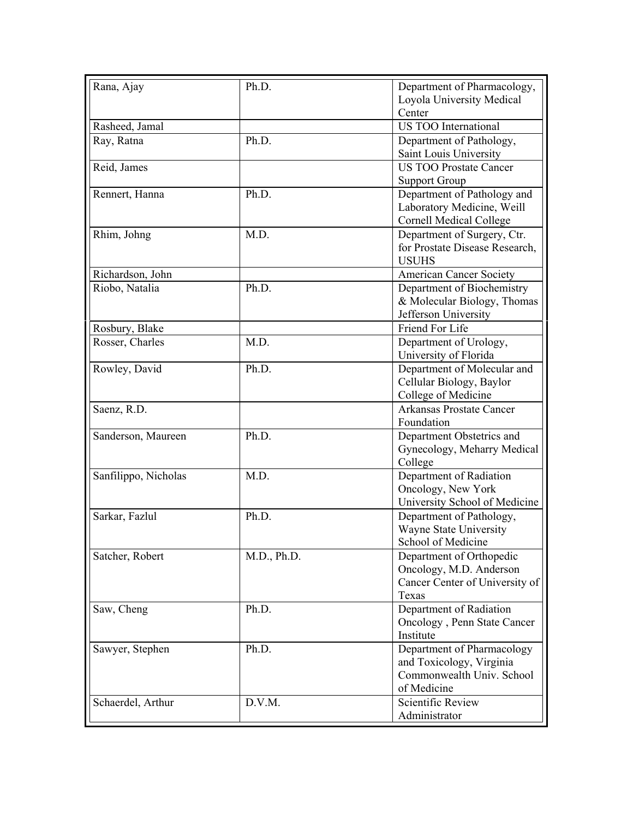| Rana, Ajay           | Ph.D.       | Department of Pharmacology,<br>Loyola University Medical |
|----------------------|-------------|----------------------------------------------------------|
|                      |             | Center                                                   |
| Rasheed, Jamal       |             | <b>US TOO International</b>                              |
| Ray, Ratna           | Ph.D.       | Department of Pathology,                                 |
|                      |             | Saint Louis University                                   |
| Reid, James          |             | <b>US TOO Prostate Cancer</b>                            |
|                      |             | <b>Support Group</b>                                     |
| Rennert, Hanna       | Ph.D.       | Department of Pathology and                              |
|                      |             | Laboratory Medicine, Weill                               |
|                      |             | <b>Cornell Medical College</b>                           |
| Rhim, Johng          | M.D.        | Department of Surgery, Ctr.                              |
|                      |             | for Prostate Disease Research,                           |
|                      |             | <b>USUHS</b>                                             |
| Richardson, John     |             | <b>American Cancer Society</b>                           |
| Riobo, Natalia       | Ph.D.       | Department of Biochemistry                               |
|                      |             | & Molecular Biology, Thomas                              |
|                      |             | Jefferson University                                     |
| Rosbury, Blake       |             | Friend For Life                                          |
| Rosser, Charles      | M.D.        | Department of Urology,                                   |
|                      |             | University of Florida                                    |
| Rowley, David        | Ph.D.       | Department of Molecular and                              |
|                      |             | Cellular Biology, Baylor                                 |
|                      |             | College of Medicine                                      |
| Saenz, R.D.          |             | <b>Arkansas Prostate Cancer</b><br>Foundation            |
| Sanderson, Maureen   | Ph.D.       | Department Obstetrics and                                |
|                      |             | Gynecology, Meharry Medical                              |
|                      |             | College                                                  |
| Sanfilippo, Nicholas | M.D.        | Department of Radiation                                  |
|                      |             | Oncology, New York                                       |
|                      |             | University School of Medicine                            |
| Sarkar, Fazlul       | Ph.D.       | Department of Pathology,                                 |
|                      |             | Wayne State University                                   |
|                      |             | School of Medicine                                       |
| Satcher, Robert      | M.D., Ph.D. | Department of Orthopedic                                 |
|                      |             | Oncology, M.D. Anderson                                  |
|                      |             | Cancer Center of University of                           |
|                      |             | Texas                                                    |
| Saw, Cheng           | Ph.D.       | Department of Radiation                                  |
|                      |             | Oncology, Penn State Cancer                              |
|                      |             | Institute                                                |
| Sawyer, Stephen      | Ph.D.       | Department of Pharmacology                               |
|                      |             | and Toxicology, Virginia<br>Commonwealth Univ. School    |
|                      |             |                                                          |
|                      |             | of Medicine                                              |
| Schaerdel, Arthur    | D.V.M.      | Scientific Review                                        |
|                      |             | Administrator                                            |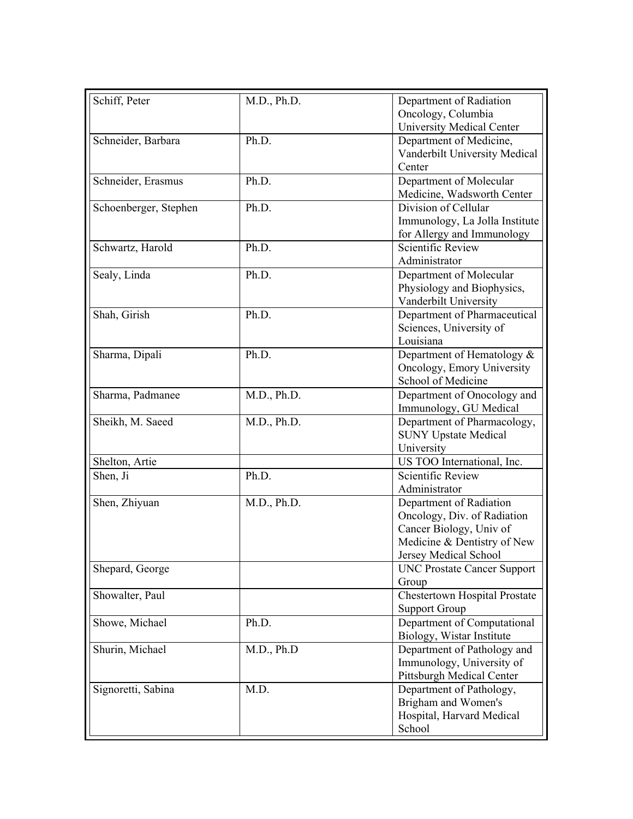| Schiff, Peter         | M.D., Ph.D. | Department of Radiation<br>Oncology, Columbia<br><b>University Medical Center</b>                                                         |
|-----------------------|-------------|-------------------------------------------------------------------------------------------------------------------------------------------|
| Schneider, Barbara    | Ph.D.       | Department of Medicine,<br>Vanderbilt University Medical<br>Center                                                                        |
| Schneider, Erasmus    | Ph.D.       | Department of Molecular<br>Medicine, Wadsworth Center                                                                                     |
| Schoenberger, Stephen | Ph.D.       | Division of Cellular<br>Immunology, La Jolla Institute<br>for Allergy and Immunology                                                      |
| Schwartz, Harold      | Ph.D.       | <b>Scientific Review</b><br>Administrator                                                                                                 |
| Sealy, Linda          | Ph.D.       | Department of Molecular<br>Physiology and Biophysics,<br>Vanderbilt University                                                            |
| Shah, Girish          | Ph.D.       | Department of Pharmaceutical<br>Sciences, University of<br>Louisiana                                                                      |
| Sharma, Dipali        | Ph.D.       | Department of Hematology &<br>Oncology, Emory University<br>School of Medicine                                                            |
| Sharma, Padmanee      | M.D., Ph.D. | Department of Onocology and<br>Immunology, GU Medical                                                                                     |
| Sheikh, M. Saeed      | M.D., Ph.D. | Department of Pharmacology,<br><b>SUNY Upstate Medical</b><br>University                                                                  |
| Shelton, Artie        |             | US TOO International, Inc.                                                                                                                |
| Shen, Ji              | Ph.D.       | <b>Scientific Review</b><br>Administrator                                                                                                 |
| Shen, Zhiyuan         | M.D., Ph.D. | Department of Radiation<br>Oncology, Div. of Radiation<br>Cancer Biology, Univ of<br>Medicine & Dentistry of New<br>Jersey Medical School |
| Shepard, George       |             | <b>UNC Prostate Cancer Support</b><br>Group                                                                                               |
| Showalter, Paul       |             | <b>Chestertown Hospital Prostate</b><br><b>Support Group</b>                                                                              |
| Showe, Michael        | Ph.D.       | Department of Computational<br>Biology, Wistar Institute                                                                                  |
| Shurin, Michael       | M.D., Ph.D  | Department of Pathology and<br>Immunology, University of<br>Pittsburgh Medical Center                                                     |
| Signoretti, Sabina    | M.D.        | Department of Pathology,<br>Brigham and Women's<br>Hospital, Harvard Medical<br>School                                                    |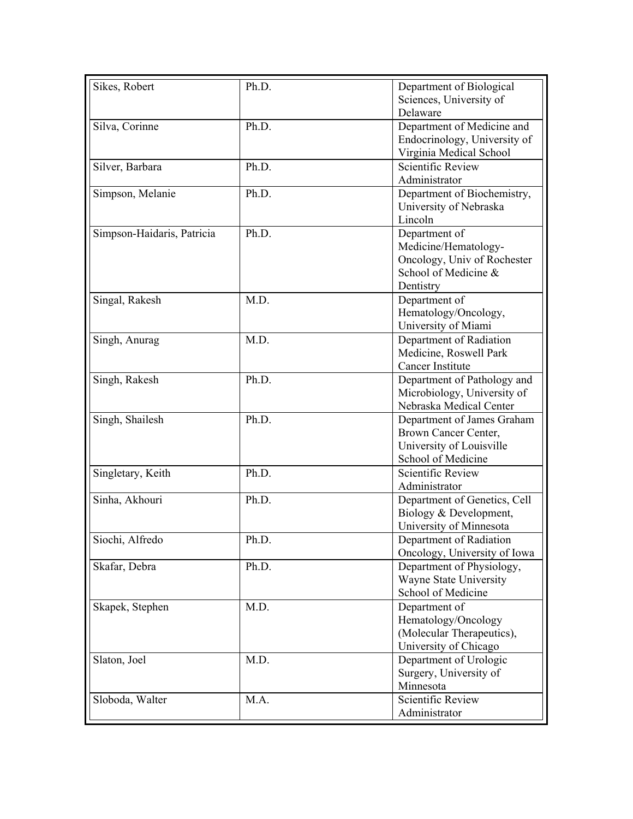| Sciences, University of<br>Delaware<br>Silva, Corinne<br>Ph.D.<br>Department of Medicine and<br>Endocrinology, University of<br>Virginia Medical School<br><b>Scientific Review</b><br>Ph.D.<br>Silver, Barbara<br>Administrator<br>Simpson, Melanie<br>Ph.D.<br>Department of Biochemistry,<br>University of Nebraska<br>Lincoln<br>Simpson-Haidaris, Patricia<br>Ph.D.<br>Department of<br>Medicine/Hematology-<br>Oncology, Univ of Rochester<br>School of Medicine &<br>Dentistry<br>Singal, Rakesh<br>M.D.<br>Department of<br>Hematology/Oncology,<br>University of Miami<br>M.D.<br>Department of Radiation<br>Singh, Anurag<br>Medicine, Roswell Park<br>Cancer Institute<br>Ph.D.<br>Singh, Rakesh<br>Department of Pathology and<br>Microbiology, University of<br>Nebraska Medical Center<br>Singh, Shailesh<br>Ph.D.<br>Department of James Graham<br>Brown Cancer Center,<br>University of Louisville<br>School of Medicine<br><b>Scientific Review</b><br>Ph.D.<br>Singletary, Keith<br>Administrator<br>Sinha, Akhouri<br>Ph.D.<br>Department of Genetics, Cell<br>Biology & Development,<br>University of Minnesota<br>Siochi, Alfredo<br>Ph.D.<br>Department of Radiation<br>Oncology, University of Iowa<br>Department of Physiology,<br>Skafar, Debra<br>Ph.D.<br>Wayne State University<br>School of Medicine<br>Department of<br>Skapek, Stephen<br>M.D.<br>Hematology/Oncology<br>(Molecular Therapeutics),<br>University of Chicago<br>Slaton, Joel<br>Department of Urologic<br>M.D.<br>Surgery, University of<br>Minnesota<br><b>Scientific Review</b><br>M.A.<br>Sloboda, Walter<br>Administrator | Sikes, Robert | Ph.D. | Department of Biological |
|-----------------------------------------------------------------------------------------------------------------------------------------------------------------------------------------------------------------------------------------------------------------------------------------------------------------------------------------------------------------------------------------------------------------------------------------------------------------------------------------------------------------------------------------------------------------------------------------------------------------------------------------------------------------------------------------------------------------------------------------------------------------------------------------------------------------------------------------------------------------------------------------------------------------------------------------------------------------------------------------------------------------------------------------------------------------------------------------------------------------------------------------------------------------------------------------------------------------------------------------------------------------------------------------------------------------------------------------------------------------------------------------------------------------------------------------------------------------------------------------------------------------------------------------------------------------------------------------------------------------------------|---------------|-------|--------------------------|
|                                                                                                                                                                                                                                                                                                                                                                                                                                                                                                                                                                                                                                                                                                                                                                                                                                                                                                                                                                                                                                                                                                                                                                                                                                                                                                                                                                                                                                                                                                                                                                                                                             |               |       |                          |
|                                                                                                                                                                                                                                                                                                                                                                                                                                                                                                                                                                                                                                                                                                                                                                                                                                                                                                                                                                                                                                                                                                                                                                                                                                                                                                                                                                                                                                                                                                                                                                                                                             |               |       |                          |
|                                                                                                                                                                                                                                                                                                                                                                                                                                                                                                                                                                                                                                                                                                                                                                                                                                                                                                                                                                                                                                                                                                                                                                                                                                                                                                                                                                                                                                                                                                                                                                                                                             |               |       |                          |
|                                                                                                                                                                                                                                                                                                                                                                                                                                                                                                                                                                                                                                                                                                                                                                                                                                                                                                                                                                                                                                                                                                                                                                                                                                                                                                                                                                                                                                                                                                                                                                                                                             |               |       |                          |
|                                                                                                                                                                                                                                                                                                                                                                                                                                                                                                                                                                                                                                                                                                                                                                                                                                                                                                                                                                                                                                                                                                                                                                                                                                                                                                                                                                                                                                                                                                                                                                                                                             |               |       |                          |
|                                                                                                                                                                                                                                                                                                                                                                                                                                                                                                                                                                                                                                                                                                                                                                                                                                                                                                                                                                                                                                                                                                                                                                                                                                                                                                                                                                                                                                                                                                                                                                                                                             |               |       |                          |
|                                                                                                                                                                                                                                                                                                                                                                                                                                                                                                                                                                                                                                                                                                                                                                                                                                                                                                                                                                                                                                                                                                                                                                                                                                                                                                                                                                                                                                                                                                                                                                                                                             |               |       |                          |
|                                                                                                                                                                                                                                                                                                                                                                                                                                                                                                                                                                                                                                                                                                                                                                                                                                                                                                                                                                                                                                                                                                                                                                                                                                                                                                                                                                                                                                                                                                                                                                                                                             |               |       |                          |
|                                                                                                                                                                                                                                                                                                                                                                                                                                                                                                                                                                                                                                                                                                                                                                                                                                                                                                                                                                                                                                                                                                                                                                                                                                                                                                                                                                                                                                                                                                                                                                                                                             |               |       |                          |
|                                                                                                                                                                                                                                                                                                                                                                                                                                                                                                                                                                                                                                                                                                                                                                                                                                                                                                                                                                                                                                                                                                                                                                                                                                                                                                                                                                                                                                                                                                                                                                                                                             |               |       |                          |
|                                                                                                                                                                                                                                                                                                                                                                                                                                                                                                                                                                                                                                                                                                                                                                                                                                                                                                                                                                                                                                                                                                                                                                                                                                                                                                                                                                                                                                                                                                                                                                                                                             |               |       |                          |
|                                                                                                                                                                                                                                                                                                                                                                                                                                                                                                                                                                                                                                                                                                                                                                                                                                                                                                                                                                                                                                                                                                                                                                                                                                                                                                                                                                                                                                                                                                                                                                                                                             |               |       |                          |
|                                                                                                                                                                                                                                                                                                                                                                                                                                                                                                                                                                                                                                                                                                                                                                                                                                                                                                                                                                                                                                                                                                                                                                                                                                                                                                                                                                                                                                                                                                                                                                                                                             |               |       |                          |
|                                                                                                                                                                                                                                                                                                                                                                                                                                                                                                                                                                                                                                                                                                                                                                                                                                                                                                                                                                                                                                                                                                                                                                                                                                                                                                                                                                                                                                                                                                                                                                                                                             |               |       |                          |
|                                                                                                                                                                                                                                                                                                                                                                                                                                                                                                                                                                                                                                                                                                                                                                                                                                                                                                                                                                                                                                                                                                                                                                                                                                                                                                                                                                                                                                                                                                                                                                                                                             |               |       |                          |
|                                                                                                                                                                                                                                                                                                                                                                                                                                                                                                                                                                                                                                                                                                                                                                                                                                                                                                                                                                                                                                                                                                                                                                                                                                                                                                                                                                                                                                                                                                                                                                                                                             |               |       |                          |
|                                                                                                                                                                                                                                                                                                                                                                                                                                                                                                                                                                                                                                                                                                                                                                                                                                                                                                                                                                                                                                                                                                                                                                                                                                                                                                                                                                                                                                                                                                                                                                                                                             |               |       |                          |
|                                                                                                                                                                                                                                                                                                                                                                                                                                                                                                                                                                                                                                                                                                                                                                                                                                                                                                                                                                                                                                                                                                                                                                                                                                                                                                                                                                                                                                                                                                                                                                                                                             |               |       |                          |
|                                                                                                                                                                                                                                                                                                                                                                                                                                                                                                                                                                                                                                                                                                                                                                                                                                                                                                                                                                                                                                                                                                                                                                                                                                                                                                                                                                                                                                                                                                                                                                                                                             |               |       |                          |
|                                                                                                                                                                                                                                                                                                                                                                                                                                                                                                                                                                                                                                                                                                                                                                                                                                                                                                                                                                                                                                                                                                                                                                                                                                                                                                                                                                                                                                                                                                                                                                                                                             |               |       |                          |
|                                                                                                                                                                                                                                                                                                                                                                                                                                                                                                                                                                                                                                                                                                                                                                                                                                                                                                                                                                                                                                                                                                                                                                                                                                                                                                                                                                                                                                                                                                                                                                                                                             |               |       |                          |
|                                                                                                                                                                                                                                                                                                                                                                                                                                                                                                                                                                                                                                                                                                                                                                                                                                                                                                                                                                                                                                                                                                                                                                                                                                                                                                                                                                                                                                                                                                                                                                                                                             |               |       |                          |
|                                                                                                                                                                                                                                                                                                                                                                                                                                                                                                                                                                                                                                                                                                                                                                                                                                                                                                                                                                                                                                                                                                                                                                                                                                                                                                                                                                                                                                                                                                                                                                                                                             |               |       |                          |
|                                                                                                                                                                                                                                                                                                                                                                                                                                                                                                                                                                                                                                                                                                                                                                                                                                                                                                                                                                                                                                                                                                                                                                                                                                                                                                                                                                                                                                                                                                                                                                                                                             |               |       |                          |
|                                                                                                                                                                                                                                                                                                                                                                                                                                                                                                                                                                                                                                                                                                                                                                                                                                                                                                                                                                                                                                                                                                                                                                                                                                                                                                                                                                                                                                                                                                                                                                                                                             |               |       |                          |
|                                                                                                                                                                                                                                                                                                                                                                                                                                                                                                                                                                                                                                                                                                                                                                                                                                                                                                                                                                                                                                                                                                                                                                                                                                                                                                                                                                                                                                                                                                                                                                                                                             |               |       |                          |
|                                                                                                                                                                                                                                                                                                                                                                                                                                                                                                                                                                                                                                                                                                                                                                                                                                                                                                                                                                                                                                                                                                                                                                                                                                                                                                                                                                                                                                                                                                                                                                                                                             |               |       |                          |
|                                                                                                                                                                                                                                                                                                                                                                                                                                                                                                                                                                                                                                                                                                                                                                                                                                                                                                                                                                                                                                                                                                                                                                                                                                                                                                                                                                                                                                                                                                                                                                                                                             |               |       |                          |
|                                                                                                                                                                                                                                                                                                                                                                                                                                                                                                                                                                                                                                                                                                                                                                                                                                                                                                                                                                                                                                                                                                                                                                                                                                                                                                                                                                                                                                                                                                                                                                                                                             |               |       |                          |
|                                                                                                                                                                                                                                                                                                                                                                                                                                                                                                                                                                                                                                                                                                                                                                                                                                                                                                                                                                                                                                                                                                                                                                                                                                                                                                                                                                                                                                                                                                                                                                                                                             |               |       |                          |
|                                                                                                                                                                                                                                                                                                                                                                                                                                                                                                                                                                                                                                                                                                                                                                                                                                                                                                                                                                                                                                                                                                                                                                                                                                                                                                                                                                                                                                                                                                                                                                                                                             |               |       |                          |
|                                                                                                                                                                                                                                                                                                                                                                                                                                                                                                                                                                                                                                                                                                                                                                                                                                                                                                                                                                                                                                                                                                                                                                                                                                                                                                                                                                                                                                                                                                                                                                                                                             |               |       |                          |
|                                                                                                                                                                                                                                                                                                                                                                                                                                                                                                                                                                                                                                                                                                                                                                                                                                                                                                                                                                                                                                                                                                                                                                                                                                                                                                                                                                                                                                                                                                                                                                                                                             |               |       |                          |
|                                                                                                                                                                                                                                                                                                                                                                                                                                                                                                                                                                                                                                                                                                                                                                                                                                                                                                                                                                                                                                                                                                                                                                                                                                                                                                                                                                                                                                                                                                                                                                                                                             |               |       |                          |
|                                                                                                                                                                                                                                                                                                                                                                                                                                                                                                                                                                                                                                                                                                                                                                                                                                                                                                                                                                                                                                                                                                                                                                                                                                                                                                                                                                                                                                                                                                                                                                                                                             |               |       |                          |
|                                                                                                                                                                                                                                                                                                                                                                                                                                                                                                                                                                                                                                                                                                                                                                                                                                                                                                                                                                                                                                                                                                                                                                                                                                                                                                                                                                                                                                                                                                                                                                                                                             |               |       |                          |
|                                                                                                                                                                                                                                                                                                                                                                                                                                                                                                                                                                                                                                                                                                                                                                                                                                                                                                                                                                                                                                                                                                                                                                                                                                                                                                                                                                                                                                                                                                                                                                                                                             |               |       |                          |
|                                                                                                                                                                                                                                                                                                                                                                                                                                                                                                                                                                                                                                                                                                                                                                                                                                                                                                                                                                                                                                                                                                                                                                                                                                                                                                                                                                                                                                                                                                                                                                                                                             |               |       |                          |
|                                                                                                                                                                                                                                                                                                                                                                                                                                                                                                                                                                                                                                                                                                                                                                                                                                                                                                                                                                                                                                                                                                                                                                                                                                                                                                                                                                                                                                                                                                                                                                                                                             |               |       |                          |
|                                                                                                                                                                                                                                                                                                                                                                                                                                                                                                                                                                                                                                                                                                                                                                                                                                                                                                                                                                                                                                                                                                                                                                                                                                                                                                                                                                                                                                                                                                                                                                                                                             |               |       |                          |
|                                                                                                                                                                                                                                                                                                                                                                                                                                                                                                                                                                                                                                                                                                                                                                                                                                                                                                                                                                                                                                                                                                                                                                                                                                                                                                                                                                                                                                                                                                                                                                                                                             |               |       |                          |
|                                                                                                                                                                                                                                                                                                                                                                                                                                                                                                                                                                                                                                                                                                                                                                                                                                                                                                                                                                                                                                                                                                                                                                                                                                                                                                                                                                                                                                                                                                                                                                                                                             |               |       |                          |
|                                                                                                                                                                                                                                                                                                                                                                                                                                                                                                                                                                                                                                                                                                                                                                                                                                                                                                                                                                                                                                                                                                                                                                                                                                                                                                                                                                                                                                                                                                                                                                                                                             |               |       |                          |
|                                                                                                                                                                                                                                                                                                                                                                                                                                                                                                                                                                                                                                                                                                                                                                                                                                                                                                                                                                                                                                                                                                                                                                                                                                                                                                                                                                                                                                                                                                                                                                                                                             |               |       |                          |
|                                                                                                                                                                                                                                                                                                                                                                                                                                                                                                                                                                                                                                                                                                                                                                                                                                                                                                                                                                                                                                                                                                                                                                                                                                                                                                                                                                                                                                                                                                                                                                                                                             |               |       |                          |
|                                                                                                                                                                                                                                                                                                                                                                                                                                                                                                                                                                                                                                                                                                                                                                                                                                                                                                                                                                                                                                                                                                                                                                                                                                                                                                                                                                                                                                                                                                                                                                                                                             |               |       |                          |
|                                                                                                                                                                                                                                                                                                                                                                                                                                                                                                                                                                                                                                                                                                                                                                                                                                                                                                                                                                                                                                                                                                                                                                                                                                                                                                                                                                                                                                                                                                                                                                                                                             |               |       |                          |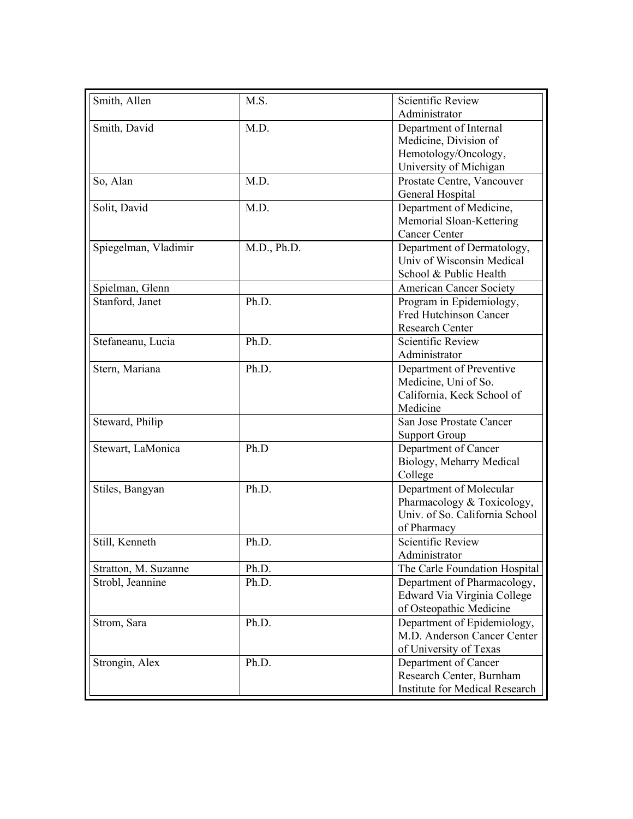| Smith, Allen         | M.S.        | <b>Scientific Review</b>              |
|----------------------|-------------|---------------------------------------|
|                      |             | Administrator                         |
| Smith, David         | M.D.        | Department of Internal                |
|                      |             | Medicine, Division of                 |
|                      |             | Hemotology/Oncology,                  |
|                      |             | University of Michigan                |
| So, Alan             | M.D.        | Prostate Centre, Vancouver            |
|                      |             | General Hospital                      |
| Solit, David         | M.D.        | Department of Medicine,               |
|                      |             | Memorial Sloan-Kettering              |
|                      |             | <b>Cancer Center</b>                  |
| Spiegelman, Vladimir | M.D., Ph.D. | Department of Dermatology,            |
|                      |             | Univ of Wisconsin Medical             |
|                      |             | School & Public Health                |
| Spielman, Glenn      |             | <b>American Cancer Society</b>        |
| Stanford, Janet      | Ph.D.       | Program in Epidemiology,              |
|                      |             | <b>Fred Hutchinson Cancer</b>         |
|                      |             | Research Center                       |
| Stefaneanu, Lucia    | Ph.D.       | Scientific Review                     |
|                      |             | Administrator                         |
| Stern, Mariana       | Ph.D.       | Department of Preventive              |
|                      |             | Medicine, Uni of So.                  |
|                      |             | California, Keck School of            |
|                      |             | Medicine                              |
| Steward, Philip      |             | San Jose Prostate Cancer              |
|                      |             | <b>Support Group</b>                  |
| Stewart, LaMonica    | Ph.D        | Department of Cancer                  |
|                      |             | Biology, Meharry Medical              |
|                      |             | College                               |
| Stiles, Bangyan      | Ph.D.       | Department of Molecular               |
|                      |             | Pharmacology & Toxicology,            |
|                      |             | Univ. of So. California School        |
|                      |             | of Pharmacy                           |
| Still, Kenneth       | Ph.D.       | <b>Scientific Review</b>              |
|                      |             | Administrator                         |
| Stratton, M. Suzanne | Ph.D.       | The Carle Foundation Hospital         |
| Strobl, Jeannine     | Ph.D.       | Department of Pharmacology,           |
|                      |             | Edward Via Virginia College           |
|                      |             | of Osteopathic Medicine               |
| Strom, Sara          | Ph.D.       | Department of Epidemiology,           |
|                      |             | M.D. Anderson Cancer Center           |
|                      |             |                                       |
|                      |             | of University of Texas                |
| Strongin, Alex       | Ph.D.       | Department of Cancer                  |
|                      |             | Research Center, Burnham              |
|                      |             | <b>Institute for Medical Research</b> |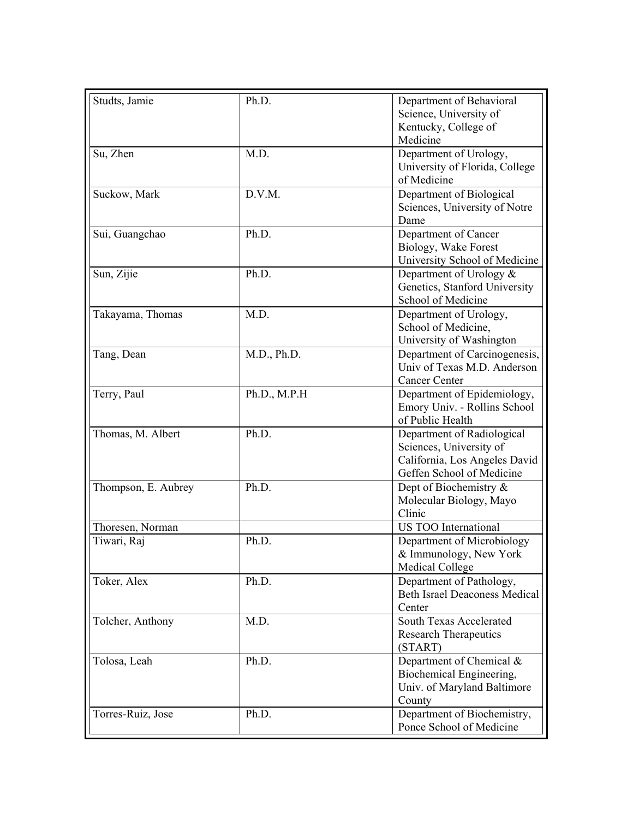| Studts, Jamie       | Ph.D.        | Department of Behavioral<br>Science, University of                                                                  |
|---------------------|--------------|---------------------------------------------------------------------------------------------------------------------|
|                     |              | Kentucky, College of<br>Medicine                                                                                    |
| Su, Zhen            | M.D.         | Department of Urology,<br>University of Florida, College<br>of Medicine                                             |
| Suckow, Mark        | D.V.M.       | Department of Biological<br>Sciences, University of Notre<br>Dame                                                   |
| Sui, Guangchao      | Ph.D.        | Department of Cancer<br>Biology, Wake Forest<br>University School of Medicine                                       |
| Sun, Zijie          | Ph.D.        | Department of Urology &<br>Genetics, Stanford University<br>School of Medicine                                      |
| Takayama, Thomas    | M.D.         | Department of Urology,<br>School of Medicine,<br>University of Washington                                           |
| Tang, Dean          | M.D., Ph.D.  | Department of Carcinogenesis,<br>Univ of Texas M.D. Anderson<br><b>Cancer Center</b>                                |
| Terry, Paul         | Ph.D., M.P.H | Department of Epidemiology,<br>Emory Univ. - Rollins School<br>of Public Health                                     |
| Thomas, M. Albert   | Ph.D.        | Department of Radiological<br>Sciences, University of<br>California, Los Angeles David<br>Geffen School of Medicine |
| Thompson, E. Aubrey | Ph.D.        | Dept of Biochemistry &<br>Molecular Biology, Mayo<br>Clinic                                                         |
| Thoresen, Norman    |              | US TOO International                                                                                                |
| Tiwari, Raj         | Ph.D.        | Department of Microbiology<br>& Immunology, New York<br><b>Medical College</b>                                      |
| Toker, Alex         | Ph.D.        | Department of Pathology,<br><b>Beth Israel Deaconess Medical</b><br>Center                                          |
| Tolcher, Anthony    | M.D.         | <b>South Texas Accelerated</b><br><b>Research Therapeutics</b><br>(START)                                           |
| Tolosa, Leah        | Ph.D.        | Department of Chemical &<br>Biochemical Engineering,<br>Univ. of Maryland Baltimore<br>County                       |
| Torres-Ruiz, Jose   | Ph.D.        | Department of Biochemistry,<br>Ponce School of Medicine                                                             |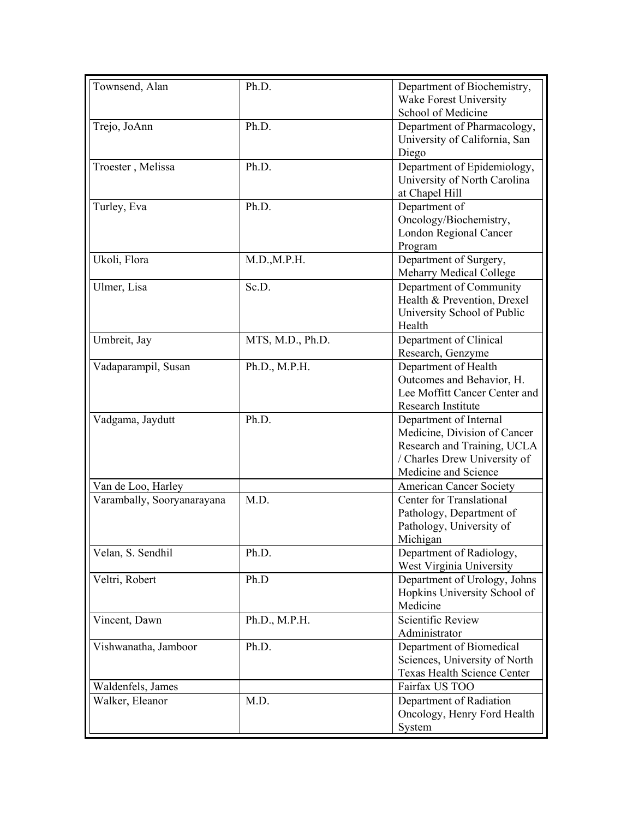| Townsend, Alan             | Ph.D.            | Department of Biochemistry,<br>Wake Forest University<br>School of Medicine                                                                   |
|----------------------------|------------------|-----------------------------------------------------------------------------------------------------------------------------------------------|
| Trejo, JoAnn               | Ph.D.            | Department of Pharmacology,<br>University of California, San<br>Diego                                                                         |
| Troester, Melissa          | Ph.D.            | Department of Epidemiology,<br>University of North Carolina<br>at Chapel Hill                                                                 |
| Turley, Eva                | Ph.D.            | Department of<br>Oncology/Biochemistry,<br><b>London Regional Cancer</b><br>Program                                                           |
| Ukoli, Flora               | M.D., M.P.H.     | Department of Surgery,<br><b>Meharry Medical College</b>                                                                                      |
| Ulmer, Lisa                | Sc.D.            | Department of Community<br>Health & Prevention, Drexel<br>University School of Public<br>Health                                               |
| Umbreit, Jay               | MTS, M.D., Ph.D. | Department of Clinical<br>Research, Genzyme                                                                                                   |
| Vadaparampil, Susan        | Ph.D., M.P.H.    | Department of Health<br>Outcomes and Behavior, H.<br>Lee Moffitt Cancer Center and<br>Research Institute                                      |
| Vadgama, Jaydutt           | Ph.D.            | Department of Internal<br>Medicine, Division of Cancer<br>Research and Training, UCLA<br>/ Charles Drew University of<br>Medicine and Science |
| Van de Loo, Harley         |                  | <b>American Cancer Society</b>                                                                                                                |
| Varambally, Sooryanarayana | M.D.             | Center for Translational<br>Pathology, Department of<br>Pathology, University of<br>Michigan                                                  |
| Velan, S. Sendhil          | Ph.D.            | Department of Radiology,<br>West Virginia University                                                                                          |
| Veltri, Robert             | Ph.D             | Department of Urology, Johns<br>Hopkins University School of<br>Medicine                                                                      |
| Vincent, Dawn              | Ph.D., M.P.H.    | Scientific Review<br>Administrator                                                                                                            |
| Vishwanatha, Jamboor       | Ph.D.            | Department of Biomedical<br>Sciences, University of North<br>Texas Health Science Center                                                      |
| Waldenfels, James          |                  | Fairfax US TOO                                                                                                                                |
| Walker, Eleanor            | M.D.             | Department of Radiation<br>Oncology, Henry Ford Health<br>System                                                                              |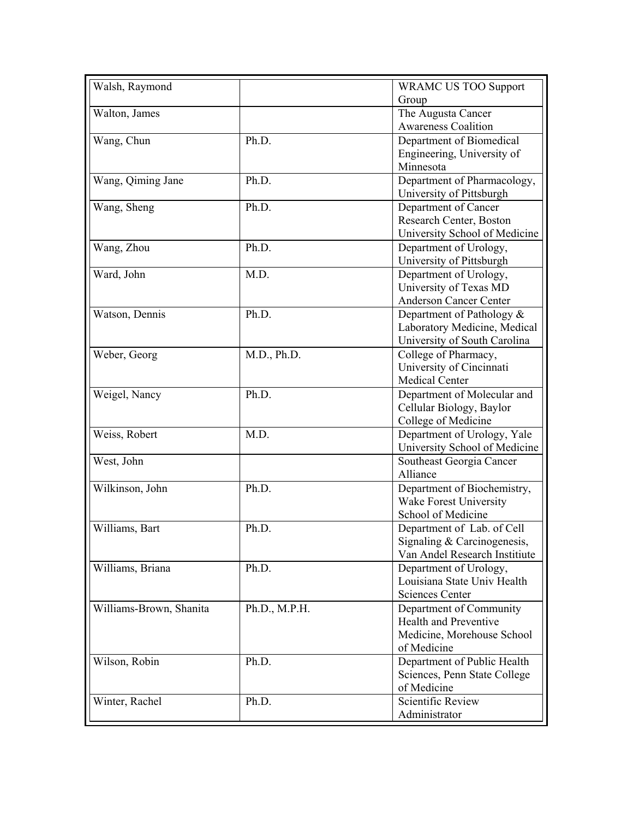| Walsh, Raymond          |               | <b>WRAMC US TOO Support</b><br>Group                                                                 |
|-------------------------|---------------|------------------------------------------------------------------------------------------------------|
| Walton, James           |               | The Augusta Cancer<br><b>Awareness Coalition</b>                                                     |
| Wang, Chun              | Ph.D.         | Department of Biomedical<br>Engineering, University of<br>Minnesota                                  |
| Wang, Qiming Jane       | Ph.D.         | Department of Pharmacology,<br>University of Pittsburgh                                              |
| Wang, Sheng             | Ph.D.         | Department of Cancer<br>Research Center, Boston<br>University School of Medicine                     |
| Wang, Zhou              | Ph.D.         | Department of Urology,<br>University of Pittsburgh                                                   |
| Ward, John              | M.D.          | Department of Urology,<br>University of Texas MD<br><b>Anderson Cancer Center</b>                    |
| Watson, Dennis          | Ph.D.         | Department of Pathology &<br>Laboratory Medicine, Medical<br>University of South Carolina            |
| Weber, Georg            | M.D., Ph.D.   | College of Pharmacy,<br>University of Cincinnati<br><b>Medical Center</b>                            |
| Weigel, Nancy           | Ph.D.         | Department of Molecular and<br>Cellular Biology, Baylor<br>College of Medicine                       |
| Weiss, Robert           | M.D.          | Department of Urology, Yale<br>University School of Medicine                                         |
| West, John              |               | Southeast Georgia Cancer<br>Alliance                                                                 |
| Wilkinson, John         | Ph.D.         | Department of Biochemistry,<br>Wake Forest University<br>School of Medicine                          |
| Williams, Bart          | Ph.D.         | Department of Lab. of Cell<br>Signaling & Carcinogenesis,<br>Van Andel Research Institiute           |
| Williams, Briana        | Ph.D.         | Department of Urology,<br>Louisiana State Univ Health<br><b>Sciences Center</b>                      |
| Williams-Brown, Shanita | Ph.D., M.P.H. | Department of Community<br><b>Health and Preventive</b><br>Medicine, Morehouse School<br>of Medicine |
| Wilson, Robin           | Ph.D.         | Department of Public Health<br>Sciences, Penn State College<br>of Medicine                           |
| Winter, Rachel          | Ph.D.         | <b>Scientific Review</b><br>Administrator                                                            |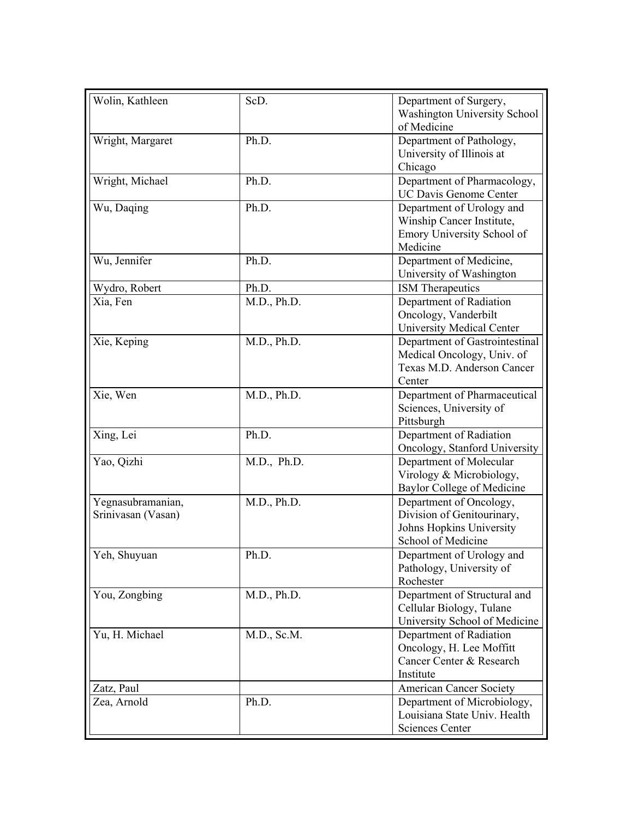| Wolin, Kathleen           | ScD.        | Department of Surgery,                                        |
|---------------------------|-------------|---------------------------------------------------------------|
|                           |             | <b>Washington University School</b><br>of Medicine            |
| Wright, Margaret          | Ph.D.       | Department of Pathology,                                      |
|                           |             | University of Illinois at                                     |
|                           |             | Chicago                                                       |
| Wright, Michael           | Ph.D.       | Department of Pharmacology,                                   |
|                           |             | UC Davis Genome Center                                        |
| Wu, Daqing                | Ph.D.       | Department of Urology and                                     |
|                           |             | Winship Cancer Institute,                                     |
|                           |             | Emory University School of<br>Medicine                        |
| Wu, Jennifer              | Ph.D.       | Department of Medicine,                                       |
|                           |             | University of Washington                                      |
| Wydro, Robert             | Ph.D.       | <b>ISM</b> Therapeutics                                       |
| Xia, Fen                  | M.D., Ph.D. | Department of Radiation                                       |
|                           |             | Oncology, Vanderbilt                                          |
|                           |             | <b>University Medical Center</b>                              |
| Xie, Keping               | M.D., Ph.D. | Department of Gastrointestinal                                |
|                           |             | Medical Oncology, Univ. of                                    |
|                           |             | Texas M.D. Anderson Cancer                                    |
| Xie, Wen                  | M.D., Ph.D. | Center<br>Department of Pharmaceutical                        |
|                           |             | Sciences, University of                                       |
|                           |             | Pittsburgh                                                    |
| Xing, Lei                 | Ph.D.       | Department of Radiation                                       |
|                           |             | Oncology, Stanford University                                 |
| Yao, Qizhi                | M.D., Ph.D. | Department of Molecular                                       |
|                           |             | Virology & Microbiology,                                      |
|                           |             | <b>Baylor College of Medicine</b>                             |
| Yegnasubramanian,         | M.D., Ph.D. | Department of Oncology,                                       |
| Srinivasan (Vasan)        |             | Division of Genitourinary,                                    |
|                           |             | Johns Hopkins University                                      |
| Yeh, Shuyuan              | Ph.D.       | School of Medicine<br>Department of Urology and               |
|                           |             | Pathology, University of                                      |
|                           |             | Rochester                                                     |
| You, Zongbing             | M.D., Ph.D. | Department of Structural and                                  |
|                           |             | Cellular Biology, Tulane                                      |
|                           |             | University School of Medicine                                 |
| Yu, H. Michael            | M.D., Sc.M. | Department of Radiation                                       |
|                           |             | Oncology, H. Lee Moffitt                                      |
|                           |             | Cancer Center & Research                                      |
|                           |             | Institute                                                     |
| Zatz, Paul<br>Zea, Arnold | Ph.D.       | <b>American Cancer Society</b><br>Department of Microbiology, |
|                           |             | Louisiana State Univ. Health                                  |
|                           |             | <b>Sciences Center</b>                                        |
|                           |             |                                                               |